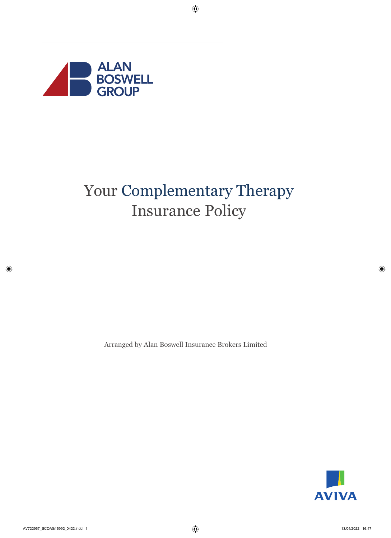

# Your Complementary Therapy Insurance Policy

Arranged by Alan Boswell Insurance Brokers Limited

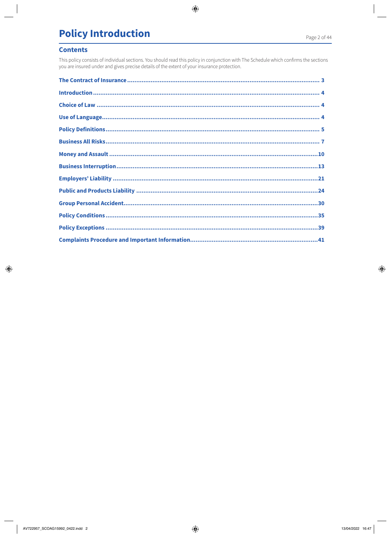## **Policy Introduction**

## **Contents**

This policy consists of individual sections. You should read this policy in conjunction with The Schedule which confirms the sections you are insured under and gives precise details of the extent of your insurance protection.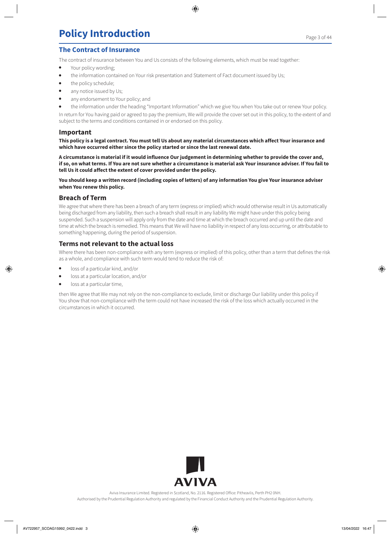## **The Contract of Insurance**

The contract of insurance between You and Us consists of the following elements, which must be read together:

- Your policy wording;
- the information contained on Your risk presentation and Statement of Fact document issued by Us;
- the policy schedule;
- any notice issued by Us;
- any endorsement to Your policy; and
- the information under the heading "Important Information" which we give You when You take out or renew Your policy.

In return for You having paid or agreed to pay the premium, We will provide the cover set out in this policy, to the extent of and subject to the terms and conditions contained in or endorsed on this policy.

### **Important**

**This policy is a legal contract. You must tell Us about any material circumstances which affect Your insurance and which have occurred either since the policy started or since the last renewal date.**

**A circumstance is material if it would influence Our judgement in determining whether to provide the cover and, if so, on what terms. If You are not sure whether a circumstance is material ask Your insurance adviser. If You fail to tell Us it could affect the extent of cover provided under the policy.**

**You should keep a written record (including copies of letters) of any information You give Your insurance adviser when You renew this policy.**

## **Breach of Term**

We agree that where there has been a breach of any term (express or implied) which would otherwise result in Us automatically being discharged from any liability, then such a breach shall result in any liability We might have under this policy being suspended. Such a suspension will apply only from the date and time at which the breach occurred and up until the date and time at which the breach is remedied. This means that We will have no liability in respect of any loss occurring, or attributable to something happening, during the period of suspension.

## **Terms not relevant to the actual loss**

Where there has been non-compliance with any term (express or implied) of this policy, other than a term that defines the risk as a whole, and compliance with such term would tend to reduce the risk of:

- loss of a particular kind, and/or
- loss at a particular location, and/or
- loss at a particular time,

then We agree that We may not rely on the non-compliance to exclude, limit or discharge Our liability under this policy if You show that non-compliance with the term could not have increased the risk of the loss which actually occurred in the circumstances in which it occurred.



Aviva Insurance Limited. Registered in Scotland, No. 2116. Registered Office: Pitheavlis, Perth PH2 0NH. Authorised by the Prudential Regulation Authority and regulated by the Financial Conduct Authority and the Prudential Regulation Authority.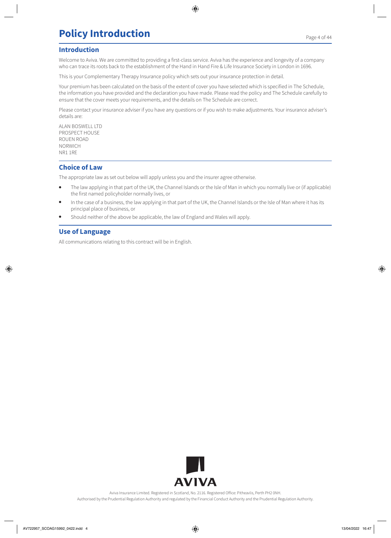## **Policy Introduction**

## **Introduction**

Welcome to Aviva. We are committed to providing a first-class service. Aviva has the experience and longevity of a company who can trace its roots back to the establishment of the Hand in Hand Fire & Life Insurance Society in London in 1696.

This is your Complementary Therapy Insurance policy which sets out your insurance protection in detail.

Your premium has been calculated on the basis of the extent of cover you have selected which is specified in The Schedule, the information you have provided and the declaration you have made. Please read the policy and The Schedule carefully to ensure that the cover meets your requirements, and the details on The Schedule are correct.

Please contact your insurance adviser if you have any questions or if you wish to make adjustments. Your insurance adviser's details are:

ALAN BOSWELL LTD PROSPECT HOUSE ROUEN ROAD NORWICH NR1 1RE

## **Choice of Law**

The appropriate law as set out below will apply unless you and the insurer agree otherwise.

- The law applying in that part of the UK, the Channel Islands or the Isle of Man in which you normally live or (if applicable) the first named policyholder normally lives, or
- In the case of a business, the law applying in that part of the UK, the Channel Islands or the Isle of Man where it has its principal place of business, or
- Should neither of the above be applicable, the law of England and Wales will apply.

## **Use of Language**

All communications relating to this contract will be in English.



Aviva Insurance Limited. Registered in Scotland, No. 2116. Registered Office: Pitheavlis, Perth PH2 0NH. Authorised by the Prudential Regulation Authority and regulated by the Financial Conduct Authority and the Prudential Regulation Authority.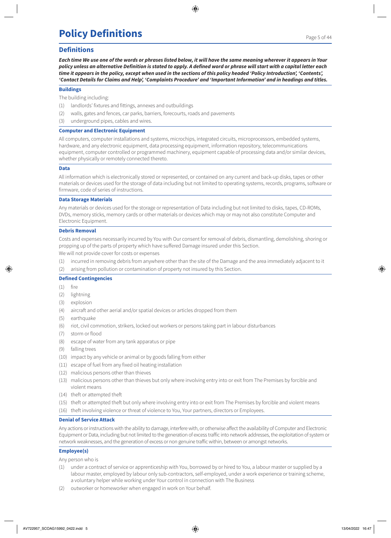## **Policy Definitions**

## **Definitions**

*Each time We use one of the words or phrases listed below, it will have the same meaning wherever it appears in Your policy unless an alternative Definition is stated to apply. A defined word or phrase will start with a capital letter each time it appears in the policy, except when used in the sections of this policy headed 'Policy Introduction', 'Contents', 'Contact Details for Claims and Help', 'Complaints Procedure' and 'Important Information' and in headings and titles.*

#### **Buildings**

The building including:

- (1) landlords' fixtures and fittings, annexes and outbuildings
- (2) walls, gates and fences, car parks, barriers, forecourts, roads and pavements
- (3) underground pipes, cables and wires.

#### **Computer and Electronic Equipment**

All computers, computer installations and systems, microchips, integrated circuits, microprocessors, embedded systems, hardware, and any electronic equipment, data processing equipment, information repository, telecommunications equipment, computer controlled or programmed machinery, equipment capable of processing data and/or similar devices, whether physically or remotely connected thereto.

#### **Data**

All information which is electronically stored or represented, or contained on any current and back-up disks, tapes or other materials or devices used for the storage of data including but not limited to operating systems, records, programs, software or firmware, code of series of instructions.

#### **Data Storage Materials**

Any materials or devices used for the storage or representation of Data including but not limited to disks, tapes, CD-ROMs, DVDs, memory sticks, memory cards or other materials or devices which may or may not also constitute Computer and Electronic Equipment.

#### **Debris Removal**

Costs and expenses necessarily incurred by You with Our consent for removal of debris, dismantling, demolishing, shoring or propping up of the parts of property which have suffered Damage insured under this Section.

We will not provide cover for costs or expenses

- (1) incurred in removing debris from anywhere other than the site of the Damage and the area immediately adjacent to it
- (2) arising from pollution or contamination of property not insured by this Section.

## **Defined Contingencies**

- (1) fire
- (2) lightning
- (3) explosion
- (4) aircraft and other aerial and/or spatial devices or articles dropped from them
- (5) earthquake
- (6) riot, civil commotion, strikers, locked out workers or persons taking part in labour disturbances
- (7) storm or flood
- (8) escape of water from any tank apparatus or pipe
- (9) falling trees
- (10) impact by any vehicle or animal or by goods falling from either
- (11) escape of fuel from any fixed oil heating installation
- (12) malicious persons other than thieves
- (13) malicious persons other than thieves but only where involving entry into or exit from The Premises by forcible and violent means
- (14) theft or attempted theft
- (15) theft or attempted theft but only where involving entry into or exit from The Premises by forcible and violent means
- (16) theft involving violence or threat of violence to You, Your partners, directors or Employees.

#### **Denial of Service Attack**

Any actions or instructions with the ability to damage, interfere with, or otherwise affect the availability of Computer and Electronic Equipment or Data, including but not limited to the generation of excess traffic into network addresses, the exploitation of system or network weaknesses, and the generation of excess or non genuine traffic within, between or amongst networks.

### **Employee(s)**

Any person who is

- (1) under a contract of service or apprenticeship with You, borrowed by or hired to You, a labour master or supplied by a labour master, employed by labour only sub-contractors, self-employed, under a work experience or training scheme, a voluntary helper while working under Your control in connection with The Business
- (2) outworker or homeworker when engaged in work on Your behalf.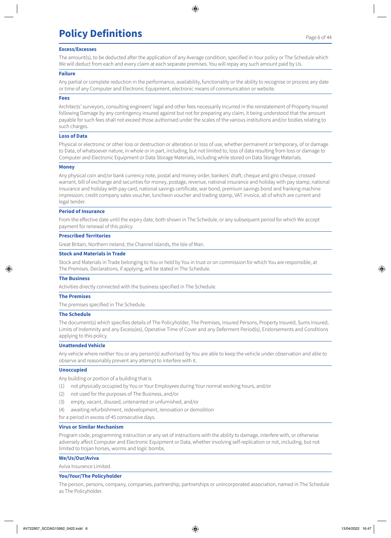## **Policy Definitions**

#### **Excess/Excesses**

The amount(s), to be deducted after the application of any Average condition, specified in Your policy or The Schedule which We will deduct from each and every claim at each separate premises. You will repay any such amount paid by Us.

### **Failure**

Any partial or complete reduction in the performance, availability, functionality or the ability to recognise or process any date or time of any Computer and Electronic Equipment, electronic means of communication or website.

#### **Fees**

Architects' surveyors, consulting engineers' legal and other fees necessarily incurred in the reinstatement of Property Insured following Damage by any contingency insured against but not for preparing any claim, it being understood that the amount payable for such fees shall not exceed those authorised under the scales of the various institutions and/or bodies relating to such charges.

#### **Loss of Data**

Physical or electronic or other loss or destruction or alteration or loss of use, whether permanent or temporary, of or damage to Data, of whatsoever nature, in whole or in part, including, but not limited to, loss of data resulting from loss or damage to Computer and Electronic Equipment or Data Storage Materials, including while stored on Data Storage Materials.

#### **Money**

Any physical coin and/or bank currency note, postal and money order, bankers' draft, cheque and giro cheque, crossed warrant, bill of exchange and securities for money, postage, revenue, national insurance and holiday with pay stamp, national insurance and holiday with pay card, national savings certificate, war bond, premium savings bond and franking machine impression, credit company sales voucher, luncheon voucher and trading stamp, VAT invoice, all of which are current and legal tender.

#### **Period of Insurance**

From the effective date until the expiry date, both shown in The Schedule, or any subsequent period for which We accept payment for renewal of this policy.

#### **Prescribed Territories**

Great Britain, Northern Ireland, the Channel Islands, the Isle of Man.

#### **Stock and Materials in Trade**

Stock and Materials in Trade belonging to You or held by You in trust or on commission for which You are responsible, at The Premises. Declarations, if applying, will be stated in The Schedule.

#### **The Business**

Activities directly connected with the business specified in The Schedule.

#### **The Premises**

The premises specified in The Schedule.

#### **The Schedule**

The document(s) which specifies details of The Policyholder, The Premises, Insured Persons, Property Insured, Sums Insured, Limits of Indemnity and any Excess(es), Operative Time of Cover and any Deferment Period(s), Endorsements and Conditions applying to this policy.

#### **Unattended Vehicle**

Any vehicle where neither You or any person(s) authorised by You are able to keep the vehicle under observation and able to observe and reasonably prevent any attempt to interfere with it.

#### **Unoccupied**

Any building or portion of a building that is

- (1) not physically occupied by You or Your Employees during Your normal working hours, and/or
- (2) not used for the purposes of The Business, and/or
- (3) empty, vacant, disused, untenanted or unfurnished, and/or
- (4) awaiting refurbishment, redevelopment, renovation or demolition

for a period in excess of 45 consecutive days.

#### **Virus or Similar Mechanism**

Program code, programming instruction or any set of instructions with the ability to damage, interfere with, or otherwise adversely affect Computer and Electronic Equipment or Data, whether involving self-replication or not, including, but not limited to trojan horses, worms and logic bombs.

#### **We/Us/Our/Aviva**

Aviva Insurance Limited.

#### **You/Your/The Policyholder**

The person, persons, company, companies, partnership, partnerships or unincorporated association, named in The Schedule as The Policyholder.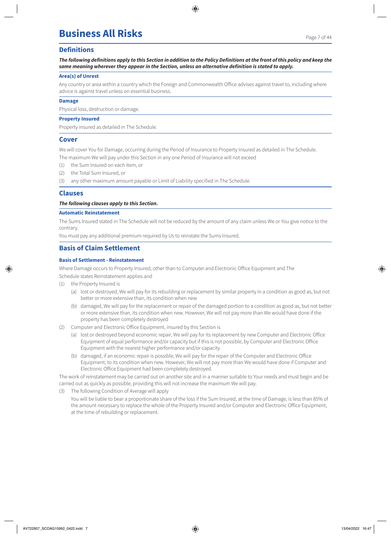## **Business All Risks**

## **Definitions**

*The following definitions apply to this Section in addition to the Policy Definitions at the front of this policy and keep the same meaning wherever they appear in the Section, unless an alternative definition is stated to apply.*

#### **Area(s) of Unrest**

Any country or area within a country which the Foreign and Commonwealth Office advises against travel to, including where advice is against travel unless on essential business.

#### **Damage**

Physical loss, destruction or damage.

#### **Property Insured**

Property insured as detailed in The Schedule.

### **Cover**

We will cover You for Damage, occurring during the Period of Insurance to Property Insured as detailed in The Schedule. The maximum We will pay under this Section in any one Period of Insurance will not exceed

- (1) the Sum Insured on each item, or
- (2) the Total Sum Insured, or
- (3) any other maximum amount payable or Limit of Liability specified in The Schedule.

#### **Clauses**

#### *The following clauses apply to this Section.*

#### **Automatic Reinstatement**

The Sums Insured stated in The Schedule will not be reduced by the amount of any claim unless We or You give notice to the contrary.

You must pay any additional premium required by Us to reinstate the Sums Insured.

## **Basis of Claim Settlement**

#### **Basis of Settlement - Reinstatement**

Where Damage occurs to Property Insured, other than to Computer and Electronic Office Equipment and The Schedule states Reinstatement applies and

- (1) the Property Insured is
	- (a) lost or destroyed, We will pay for its rebuilding or replacement by similar property in a condition as good as, but not better or more extensive than, its condition when new
	- (b) damaged, We will pay for the replacement or repair of the damaged portion to a condition as good as, but not better or more extensive than, its condition when new. However, We will not pay more than We would have done if the property has been completely destroyed
- (2) Computer and Electronic Office Equipment, insured by this Section is
	- (a) lost or destroyed beyond economic repair, We will pay for its replacement by new Computer and Electronic Office Equipment of equal performance and/or capacity but if this is not possible, by Computer and Electronic Office Equipment with the nearest higher performance and/or capacity
	- (b) damaged, if an economic repair is possible, We will pay for the repair of the Computer and Electronic Office Equipment, to its condition when new. However, We will not pay more than We would have done if Computer and Electronic Office Equipment had been completely destroyed.

The work of reinstatement may be carried out on another site and in a manner suitable to Your needs and must begin and be carried out as quickly as possible, providing this will not increase the maximum We will pay.

(3) The following Condition of Average will apply

You will be liable to bear a proportionate share of the loss if the Sum Insured, at the time of Damage, is less than 85% of the amount necessary to replace the whole of the Property Insured and/or Computer and Electronic Office Equipment, at the time of rebuilding or replacement.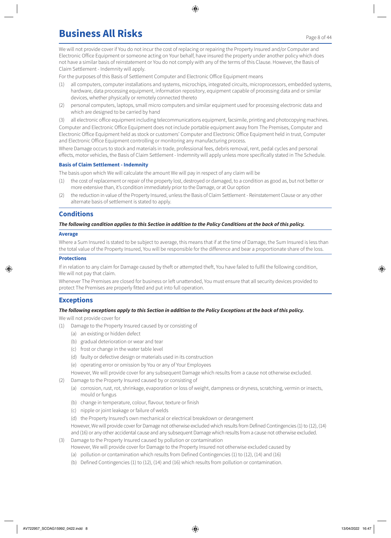## **Business All Risks** Page 8 of 44

We will not provide cover if You do not incur the cost of replacing or repairing the Property Insured and/or Computer and Electronic Office Equipment or someone acting on Your behalf, have insured the property under another policy which does not have a similar basis of reinstatement or You do not comply with any of the terms of this Clause. However, the Basis of Claim Settlement - Indemnity will apply.

For the purposes of this Basis of Settlement Computer and Electronic Office Equipment means

- (1) all computers, computer installations and systems, microchips, integrated circuits, microprocessors, embedded systems, hardware, data processing equipment, information repository, equipment capable of processing data and or similar devices, whether physically or remotely connected thereto
- (2) personal computers, laptops, small micro computers and similar equipment used for processing electronic data and which are designed to be carried by hand
- (3) all electronic office equipment including telecommunications equipment, facsimile, printing and photocopying machines.

Computer and Electronic Office Equipment does not include portable equipment away from The Premises, Computer and Electronic Office Equipment held as stock or customers' Computer and Electronic Office Equipment held in trust, Computer and Electronic Office Equipment controlling or monitoring any manufacturing process.

Where Damage occurs to stock and materials in trade, professional fees, debris removal, rent, pedal cycles and personal effects, motor vehicles, the Basis of Claim Settlement - Indemnity will apply unless more specifically stated in The Schedule.

### **Basis of Claim Settlement - Indemnity**

The basis upon which We will calculate the amount We will pay in respect of any claim will be

- (1) the cost of replacement or repair of the property lost, destroyed or damaged, to a condition as good as, but not better or more extensive than, it's condition immediately prior to the Damage, or at Our option
- (2) the reduction in value of the Property Insured, unless the Basis of Claim Settlement Reinstatement Clause or any other alternate basis of settlement is stated to apply.

## **Conditions**

## *The following condition applies to this Section in addition to the Policy Conditions at the back of this policy.*

### **Average**

Where a Sum Insured is stated to be subject to average, this means that if at the time of Damage, the Sum Insured is less than the total value of the Property Insured, You will be responsible for the difference and bear a proportionate share of the loss.

### **Protections**

If in relation to any claim for Damage caused by theft or attempted theft, You have failed to fulfil the following condition, We will not pay that claim.

Whenever The Premises are closed for business or left unattended, You must ensure that all security devices provided to protect The Premises are properly fitted and put into full operation.

## **Exceptions**

## *The following exceptions apply to this Section in addition to the Policy Exceptions at the back of this policy.*

We will not provide cover for

- (1) Damage to the Property Insured caused by or consisting of
	- (a) an existing or hidden defect
	- (b) gradual deterioration or wear and tear
	- (c) frost or change in the water table level
	- (d) faulty or defective design or materials used in its construction
	- (e) operating error or omission by You or any of Your Employees
	- However, We will provide cover for any subsequent Damage which results from a cause not otherwise excluded.
- (2) Damage to the Property Insured caused by or consisting of
	- (a) corrosion, rust, rot, shrinkage, evaporation or loss of weight, dampness or dryness, scratching, vermin or insects, mould or fungus
	- (b) change in temperature, colour, flavour, texture or finish
	- (c) nipple or joint leakage or failure of welds
	- (d) the Property Insured's own mechanical or electrical breakdown or derangement

However, We will provide cover for Damage not otherwise excluded which results from Defined Contingencies (1) to (12), (14) and (16) or any other accidental cause and any subsequent Damage which results from a cause not otherwise excluded.

- (3) Damage to the Property Insured caused by pollution or contamination However, We will provide cover for Damage to the Property Insured not otherwise excluded caused by
	- (a) pollution or contamination which results from Defined Contingencies (1) to (12), (14) and (16)
	- (b) Defined Contingencies (1) to (12), (14) and (16) which results from pollution or contamination.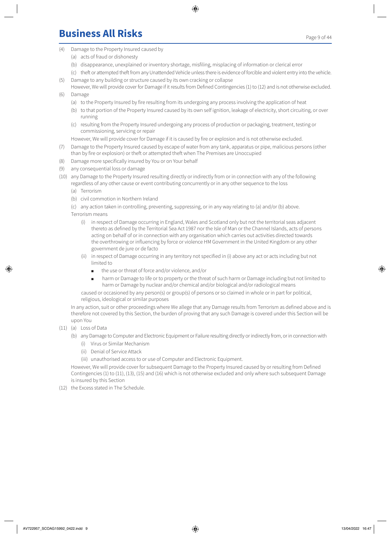## **Business All Risks** Page 9 of 44

- (4) Damage to the Property Insured caused by
	- (a) acts of fraud or dishonesty
	- (b) disappearance, unexplained or inventory shortage, misfiling, misplacing of information or clerical error
- (c) theft or attempted theft from any Unattended Vehicle unless there is evidence of forcible and violent entry into the vehicle. (5) Damage to any building or structure caused by its own cracking or collapse
- However, We will provide cover for Damage if it results from Defined Contingencies (1) to (12) and is not otherwise excluded. (6) Damage
	- (a) to the Property Insured by fire resulting from its undergoing any process involving the application of heat
	- (b) to that portion of the Property Insured caused by its own self ignition, leakage of electricity, short circuiting, or over running
	- (c) resulting from the Property Insured undergoing any process of production or packaging, treatment, testing or commissioning, servicing or repair

However, We will provide cover for Damage if it is caused by fire or explosion and is not otherwise excluded.

- (7) Damage to the Property Insured caused by escape of water from any tank, apparatus or pipe, malicious persons (other than by fire or explosion) or theft or attempted theft when The Premises are Unoccupied
- (8) Damage more specifically insured by You or on Your behalf
- (9) any consequential loss or damage
- (10) any Damage to the Property Insured resulting directly or indirectly from or in connection with any of the following regardless of any other cause or event contributing concurrently or in any other sequence to the loss
	- (a) Terrorism
	- (b) civil commotion in Northern Ireland

(c) any action taken in controlling, preventing, suppressing, or in any way relating to (a) and/or (b) above. Terrorism means

- (i) in respect of Damage occurring in England, Wales and Scotland only but not the territorial seas adjacent thereto as defined by the Territorial Sea Act 1987 nor the Isle of Man or the Channel Islands, acts of persons acting on behalf of or in connection with any organisation which carries out activities directed towards the overthrowing or influencing by force or violence HM Government in the United Kingdom or any other government de jure or de facto
- (ii) in respect of Damage occurring in any territory not specified in (i) above any act or acts including but not limited to
	- the use or threat of force and/or violence, and/or
	- harm or Damage to life or to property or the threat of such harm or Damage including but not limited to harm or Damage by nuclear and/or chemical and/or biological and/or radiological means

caused or occasioned by any person(s) or group(s) of persons or so claimed in whole or in part for political, religious, ideological or similar purposes

In any action, suit or other proceedings where We allege that any Damage results from Terrorism as defined above and is therefore not covered by this Section, the burden of proving that any such Damage is covered under this Section will be upon You

- (11) (a) Loss of Data
	- (b) any Damage to Computer and Electronic Equipment or Failure resulting directly or indirectly from, or in connection with
		- (i) Virus or Similar Mechanism
		- (ii) Denial of Service Attack
		- (iii) unauthorised access to or use of Computer and Electronic Equipment.

However, We will provide cover for subsequent Damage to the Property Insured caused by or resulting from Defined Contingencies (1) to (11), (13), (15) and (16) which is not otherwise excluded and only where such subsequent Damage is insured by this Section

(12) the Excess stated in The Schedule.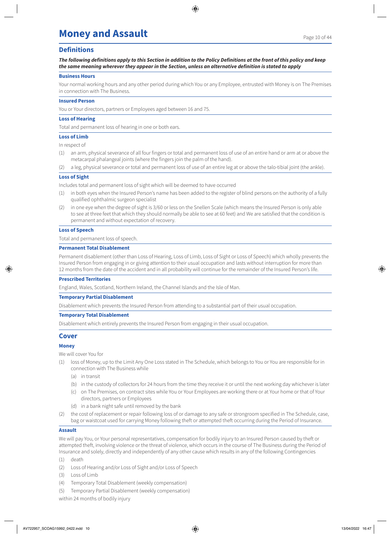## **Money and Assault Page 10 of 44**

## **Definitions**

*The following definitions apply to this Section in addition to the Policy Definitions at the front of this policy and keep the same meaning wherever they appear in the Section, unless an alternative definition is stated to apply*

#### **Business Hours**

Your normal working hours and any other period during which You or any Employee, entrusted with Money is on The Premises in connection with The Business.

#### **Insured Person**

You or Your directors, partners or Employees aged between 16 and 75.

## **Loss of Hearing**

Total and permanent loss of hearing in one or both ears.

#### **Loss of Limb**

In respect of

- (1) an arm, physical severance of all four fingers or total and permanent loss of use of an entire hand or arm at or above the metacarpal phalangeal joints (where the fingers join the palm of the hand).
- (2) a leg, physical severance or total and permanent loss of use of an entire leg at or above the talo-tibial joint (the ankle).

#### **Loss of Sight**

Includes total and permanent loss of sight which will be deemed to have occurred

- in both eyes when the Insured Person's name has been added to the register of blind persons on the authority of a fully qualified ophthalmic surgeon specialist
- (2) in one eye when the degree of sight is 3/60 or less on the Snellen Scale (which means the Insured Person is only able to see at three feet that which they should normally be able to see at 60 feet) and We are satisfied that the condition is permanent and without expectation of recovery.

#### **Loss of Speech**

Total and permanent loss of speech.

## **Permanent Total Disablement**

Permanent disablement (other than Loss of Hearing, Loss of Limb, Loss of Sight or Loss of Speech) which wholly prevents the Insured Person from engaging in or giving attention to their usual occupation and lasts without interruption for more than 12 months from the date of the accident and in all probability will continue for the remainder of the Insured Person's life.

#### **Prescribed Territories**

England, Wales, Scotland, Northern Ireland, the Channel Islands and the Isle of Man.

#### **Temporary Partial Disablement**

Disablement which prevents the Insured Person from attending to a substantial part of their usual occupation.

#### **Temporary Total Disablement**

Disablement which entirely prevents the Insured Person from engaging in their usual occupation.

## **Cover**

#### **Money**

We will cover You for

- (1) loss of Money, up to the Limit Any One Loss stated in The Schedule, which belongs to You or You are responsible for in connection with The Business while
	- (a) in transit
	- (b) in the custody of collectors for 24 hours from the time they receive it or until the next working day whichever is later
	- (c) on The Premises, on contract sites while You or Your Employees are working there or at Your home or that of Your directors, partners or Employees
	- (d) in a bank night safe until removed by the bank
- (2) the cost of replacement or repair following loss of or damage to any safe or strongroom specified in The Schedule, case, bag or waistcoat used for carrying Money following theft or attempted theft occurring during the Period of Insurance.

#### **Assault**

We will pay You, or Your personal representatives, compensation for bodily injury to an Insured Person caused by theft or attempted theft, involving violence or the threat of violence, which occurs in the course of The Business during the Period of Insurance and solely, directly and independently of any other cause which results in any of the following Contingencies

- (1) death
- (2) Loss of Hearing and/or Loss of Sight and/or Loss of Speech
- (3) Loss of Limb
- (4) Temporary Total Disablement (weekly compensation)
- (5) Temporary Partial Disablement (weekly compensation)

within 24 months of bodily injury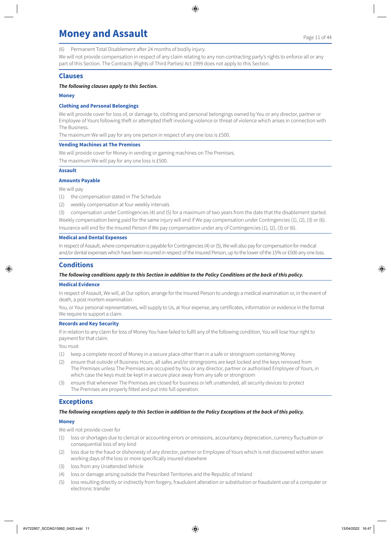## **Money and Assault Page 11 of 44**

(6) Permanent Total Disablement after 24 months of bodily injury.

We will not provide compensation in respect of any claim relating to any non-contracting party's rights to enforce all or any part of this Section. The Contracts (Rights of Third Parties) Act 1999 does not apply to this Section.

## **Clauses**

#### *The following clauses apply to this Section.*

#### **Money**

#### **Clothing and Personal Belongings**

We will provide cover for loss of, or damage to, clothing and personal belongings owned by You or any director, partner or Employee of Yours following theft or attempted theft involving violence or threat of violence which arises in connection with The Business.

The maximum We will pay for any one person in respect of any one loss is £500.

#### **Vending Machines at The Premises**

We will provide cover for Money in vending or gaming machines on The Premises. The maximum We will pay for any one loss is £500.

#### **Assault**

#### **Amounts Payable**

We will pay

- (1) the compensation stated in The Schedule
- (2) weekly compensation at four weekly intervals

(3) compensation under Contingencies (4) and (5) for a maximum of two years from the date that the disablement started. Weekly compensation being paid for the same injury will end if We pay compensation under Contingencies (1), (2), (3) or (6). Insurance will end for the Insured Person if We pay compensation under any of Contingencies (1), (2), (3) or (6).

#### **Medical and Dental Expenses**

In respect of Assault, where compensation is payable for Contingencies (4) or (5), We will also pay for compensation for medical and/or dental expenses which have been incurred in respect of the Insured Person, up to the lower of the 15% or £500 any one loss.

## **Conditions**

#### *The following conditions apply to this Section in addition to the Policy Conditions at the back of this policy.*

#### **Medical Evidence**

In respect of Assault, We will, at Our option, arrange for the Insured Person to undergo a medical examination or, in the event of death, a post mortem examination.

You, or Your personal representatives, will supply to Us, at Your expense, any certificates, information or evidence in the format We require to support a claim.

#### **Records and Key Security**

If in relation to any claim for loss of Money You have failed to fulfil any of the following condition, You will lose Your right to payment for that claim.

#### You must

- (1) keep a complete record of Money in a secure place other than in a safe or strongroom containing Money
- (2) ensure that outside of Business Hours, all safes and/or strongrooms are kept locked and the keys removed from The Premises unless The Premises are occupied by You or any director, partner or authorised Employee of Yours, in which case the keys must be kept in a secure place away from any safe or strongroom
- ensure that whenever The Premises are closed for business or left unattended, all security devices to protect The Premises are properly fitted and put into full operation.

#### **Exceptions**

#### *The following exceptions apply to this Section in addition to the Policy Exceptions at the back of this policy.*

#### **Money**

We will not provide cover for

- (1) loss or shortages due to clerical or accounting errors or omissions, accountancy depreciation, currency fluctuation or consequential loss of any kind
- (2) loss due to the fraud or dishonesty of any director, partner or Employee of Yours which is not discovered within seven working days of the loss or more specifically insured elsewhere
- (3) loss from any Unattended Vehicle
- (4) loss or damage arising outside the Prescribed Territories and the Republic of Ireland
- (5) loss resulting directly or indirectly from forgery, fraudulent alteration or substitution or fraudulent use of a computer or electronic transfer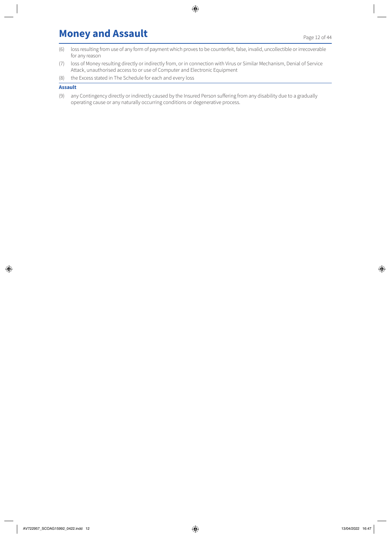- (6) loss resulting from use of any form of payment which proves to be counterfeit, false, invalid, uncollectible or irrecoverable for any reason
- (7) loss of Money resulting directly or indirectly from, or in connection with Virus or Similar Mechanism, Denial of Service Attack, unauthorised access to or use of Computer and Electronic Equipment
- (8) the Excess stated in The Schedule for each and every loss

## **Assault**

(9) any Contingency directly or indirectly caused by the Insured Person suffering from any disability due to a gradually operating cause or any naturally occurring conditions or degenerative process.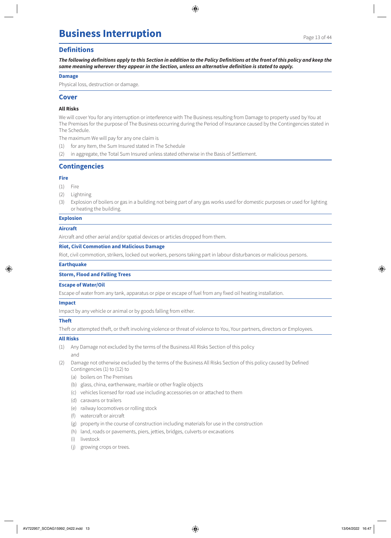## **Business Interruption** Page 13 of 44

## **Definitions**

*The following definitions apply to this Section in addition to the Policy Definitions at the front of this policy and keep the same meaning wherever they appear in the Section, unless an alternative definition is stated to apply.*

#### **Damage**

Physical loss, destruction or damage.

### **Cover**

#### **All Risks**

We will cover You for any interruption or interference with The Business resulting from Damage to property used by You at The Premises for the purpose of The Business occurring during the Period of Insurance caused by the Contingencies stated in The Schedule.

The maximum We will pay for any one claim is

- (1) for any Item, the Sum Insured stated in The Schedule
- (2) in aggregate, the Total Sum Insured unless stated otherwise in the Basis of Settlement.

## **Contingencies**

#### **Fire**

- (1) Fire
- (2) Lightning
- (3) Explosion of boilers or gas in a building not being part of any gas works used for domestic purposes or used for lighting or heating the building.

#### **Explosion**

#### **Aircraft**

Aircraft and other aerial and/or spatial devices or articles dropped from them.

## **Riot, Civil Commotion and Malicious Damage**

Riot, civil commotion, strikers, locked out workers, persons taking part in labour disturbances or malicious persons.

#### **Earthquake**

#### **Storm, Flood and Falling Trees**

#### **Escape of Water/Oil**

Escape of water from any tank, apparatus or pipe or escape of fuel from any fixed oil heating installation.

#### **Impact**

Impact by any vehicle or animal or by goods falling from either.

#### **Theft**

Theft or attempted theft, or theft involving violence or threat of violence to You, Your partners, directors or Employees.

#### **All Risks**

- (1) Any Damage not excluded by the terms of the Business All Risks Section of this policy and
- (2) Damage not otherwise excluded by the terms of the Business All Risks Section of this policy caused by Defined Contingencies (1) to (12) to
	- (a) boilers on The Premises
	- (b) glass, china, earthenware, marble or other fragile objects
	- (c) vehicles licensed for road use including accessories on or attached to them
	- (d) caravans or trailers
	- (e) railway locomotives or rolling stock
	- (f) watercraft or aircraft
	- (g) property in the course of construction including materials for use in the construction
	- (h) land, roads or pavements, piers, jetties, bridges, culverts or excavations
	- (i) livestock
	- (j) growing crops or trees.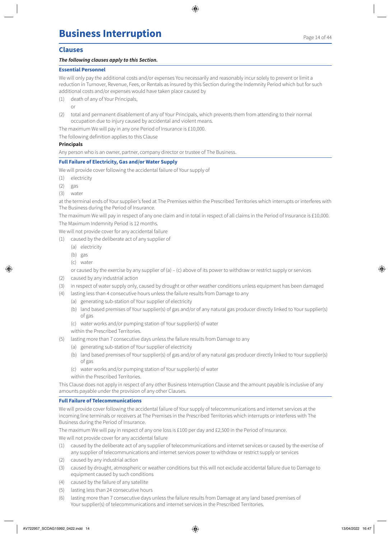## **Clauses**

#### *The following clauses apply to this Section.*

#### **Essential Personnel**

We will only pay the additional costs and/or expenses You necessarily and reasonably incur solely to prevent or limit a reduction in Turnover, Revenue, Fees, or Rentals as insured by this Section during the Indemnity Period which but for such additional costs and/or expenses would have taken place caused by

- (1) death of any of Your Principals,
- or
- (2) total and permanent disablement of any of Your Principals, which prevents them from attending to their normal occupation due to injury caused by accidental and violent means.

The maximum We will pay in any one Period of Insurance is £10,000.

The following definition applies to this Clause

#### **Principals**

Any person who is an owner, partner, company director or trustee of The Business.

#### **Full Failure of Electricity, Gas and/or Water Supply**

We will provide cover following the accidental failure of Your supply of

- (1) electricity
- (2) gas
- (3) water

at the terminal ends of Your supplier's feed at The Premises within the Prescribed Territories which interrupts or interferes with The Business during the Period of Insurance.

The maximum We will pay in respect of any one claim and in total in respect of all claims in the Period of Insurance is £10,000. The Maximum Indemnity Period is 12 months.

We will not provide cover for any accidental failure

- (1) caused by the deliberate act of any supplier of
	- (a) electricity
	- (b) gas
	- (c) water

or caused by the exercise by any supplier of (a) – (c) above of its power to withdraw or restrict supply or services

- (2) caused by any industrial action
- (3) in respect of water supply only, caused by drought or other weather conditions unless equipment has been damaged
- (4) lasting less than 4 consecutive hours unless the failure results from Damage to any
	- (a) generating sub-station of Your supplier of electricity
	- (b) land based premises of Your supplier(s) of gas and/or of any natural gas producer directly linked to Your supplier(s) of gas
	- (c) water works and/or pumping station of Your supplier(s) of water
	- within the Prescribed Territories.
- (5) lasting more than 7 consecutive days unless the failure results from Damage to any
	- (a) generating sub-station of Your supplier of electricity
	- (b) land based premises of Your supplier(s) of gas and/or of any natural gas producer directly linked to Your supplier(s) of gas
	- (c) water works and/or pumping station of Your supplier(s) of water
	- within the Prescribed Territories.

This Clause does not apply in respect of any other Business Interruption Clause and the amount payable is inclusive of any amounts payable under the provision of any other Clauses.

#### **Full Failure of Telecommunications**

We will provide cover following the accidental failure of Your supply of telecommunications and internet services at the incoming line terminals or receivers at The Premises in the Prescribed Territories which interrupts or interferes with The Business during the Period of Insurance.

The maximum We will pay in respect of any one loss is £100 per day and £2,500 in the Period of Insurance.

We will not provide cover for any accidental failure

- (1) caused by the deliberate act of any supplier of telecommunications and internet services or caused by the exercise of any supplier of telecommunications and internet services power to withdraw or restrict supply or services
- (2) caused by any industrial action
- (3) caused by drought, atmospheric or weather conditions but this will not exclude accidental failure due to Damage to equipment caused by such conditions
- (4) caused by the failure of any satellite
- (5) lasting less than 24 consecutive hours
- (6) lasting more than 7 consecutive days unless the failure results from Damage at any land based premises of Your supplier(s) of telecommunications and internet services in the Prescribed Territories.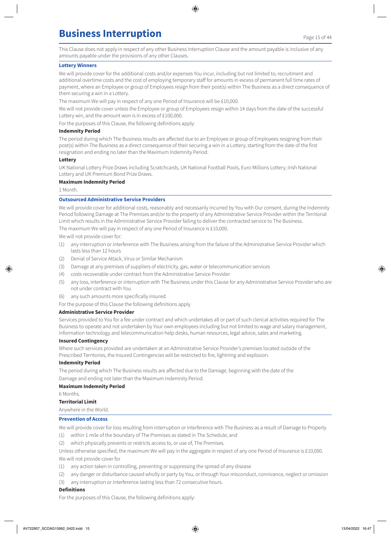## **Business Interruption** Page 15 of 44

This Clause does not apply in respect of any other Business Interruption Clause and the amount payable is inclusive of any amounts payable under the provisions of any other Clauses.

#### **Lottery Winners**

We will provide cover for the additional costs and/or expenses You incur, including but not limited to, recruitment and additional overtime costs and the cost of employing temporary staff for amounts in excess of permanent full time rates of payment, where an Employee or group of Employees resign from their post(s) within The Business as a direct consequence of them securing a win in a Lottery.

The maximum We will pay in respect of any one Period of Insurance will be £10,000.

We will not provide cover unless the Employee or group of Employees resign within 14 days from the date of the successful Lottery win, and the amount won is in excess of £100,000.

For the purposes of this Clause, the following definitions apply:

#### **Indemnity Period**

The period during which The Business results are affected due to an Employee or group of Employees resigning from their post(s) within The Business as a direct consequence of their securing a win in a Lottery, starting from the date of the first resignation and ending no later than the Maximum Indemnity Period.

#### **Lottery**

UK National Lottery Prize Draws including Scratchcards, UK National Football Pools, Euro Millions Lottery, Irish National Lottery and UK Premium Bond Prize Draws.

#### **Maximum Indemnity Period**

1 Month.

#### **Outsourced Administrative Service Providers**

We will provide cover for additional costs, reasonably and necessarily incurred by You with Our consent, during the Indemnity Period following Damage at The Premises and/or to the property of any Administrative Service Provider within the Territorial Limit which results in the Administrative Service Provider failing to deliver the contracted service to The Business.

The maximum We will pay in respect of any one Period of Insurance is £10,000.

We will not provide cover for:

- (1) any interruption or interference with The Business arising from the failure of the Administrative Service Provider which lasts less than 12 hours
- (2) Denial of Service Attack, Virus or Similar Mechanism
- (3) Damage at any premises of suppliers of electricity, gas, water or telecommunication services
- (4) costs recoverable under contract from the Administrative Service Provider
- (5) any loss, interference or interruption with The Business under this Clause for any Administrative Service Provider who are not under contract with You
- (6) any such amounts more specifically insured.

For the purpose of this Clause the following definitions apply

#### **Administrative Service Provider**

Services provided to You for a fee under contract and which undertakes all or part of such clerical activities required for The Business to operate and not undertaken by Your own employees including but not limited to wage and salary management, information technology and telecommunication help desks, human resources, legal advice, sales and marketing.

#### **Insured Contingency**

Where such services provided are undertaken at an Administrative Service Provider's premises located outside of the Prescribed Territories, the Insured Contingencies will be restricted to fire, lightning and explosion.

#### **Indemnity Period**

The period during which The Business results are affected due to the Damage, beginning with the date of the Damage and ending not later than the Maximum Indemnity Period.

#### **Maximum Indemnity Period**

6 Months.

#### **Territorial Limit**

Anywhere in the World.

## **Prevention of Access**

We will provide cover for loss resulting from interruption or interference with The Business as a result of Damage to Property

- (1) within 1 mile of the boundary of The Premises as stated in The Schedule; and
- (2) which physically prevents or restricts access to, or use of, The Premises.

Unless otherwise specified, the maximum We will pay in the aggregate in respect of any one Period of Insurance is £10,000. We will not provide cover for

- (1) any action taken in controlling, preventing or suppressing the spread of any disease
- (2) any danger or disturbance caused wholly or party by You, or through Your misconduct, connivance, neglect or omission
- (3) any interruption or interference lasting less than 72 consecutive hours.

### **Definitions**

For the purposes of this Clause, the following definitions apply: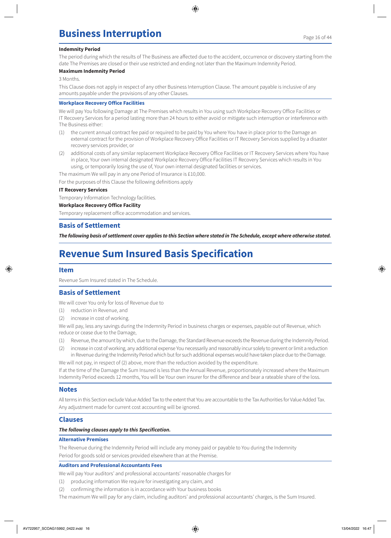### **Indemnity Period**

The period during which the results of The Business are affected due to the accident, occurrence or discovery starting from the date The Premises are closed or their use restricted and ending not later than the Maximum Indemnity Period.

## **Maximum Indemnity Period**

3 Months.

This Clause does not apply in respect of any other Business Interruption Clause. The amount payable is inclusive of any amounts payable under the provisions of any other Clauses.

## **Workplace Recovery Office Facilities**

We will pay You following Damage at The Premises which results in You using such Workplace Recovery Office Facilities or IT Recovery Services for a period lasting more than 24 hours to either avoid or mitigate such interruption or interference with The Business either:

- (1) the current annual contract fee paid or required to be paid by You where You have in place prior to the Damage an external contract for the provision of Workplace Recovery Office Facilities or IT Recovery Services supplied by a disaster recovery services provider, or
- (2) additional costs of any similar replacement Workplace Recovery Office Facilities or IT Recovery Services where You have in place, Your own internal designated Workplace Recovery Office Facilities IT Recovery Services which results in You using, or temporarily losing the use of, Your own internal designated facilities or services.

The maximum We will pay in any one Period of Insurance is £10,000.

For the purposes of this Clause the following definitions apply

#### **IT Recovery Services**

Temporary Information Technology facilities.

## **Workplace Recovery Office Facility**

Temporary replacement office accommodation and services.

## **Basis of Settlement**

*The following basis of settlement cover applies to this Section where stated in The Schedule, except where otherwise stated.*

## **Revenue Sum Insured Basis Specification**

### **Item**

Revenue Sum Insured stated in The Schedule.

## **Basis of Settlement**

We will cover You only for loss of Revenue due to

- (1) reduction in Revenue, and
- (2) increase in cost of working.

We will pay, less any savings during the Indemnity Period in business charges or expenses, payable out of Revenue, which reduce or cease due to the Damage,

- (1) Revenue, the amount by which, due to the Damage, the Standard Revenue exceeds the Revenue during the Indemnity Period.
- (2) increase in cost of working, any additional expense You necessarily and reasonably incur solely to prevent or limit a reduction in Revenue during the Indemnity Period which but for such additional expenses would have taken place due to the Damage.

We will not pay, in respect of (2) above, more than the reduction avoided by the expenditure. If at the time of the Damage the Sum Insured is less than the Annual Revenue, proportionately increased where the Maximum Indemnity Period exceeds 12 months, You will be Your own insurer for the difference and bear a rateable share of the loss.

## **Notes**

All terms in this Section exclude Value Added Tax to the extent that You are accountable to the Tax Authorities for Value Added Tax. Any adjustment made for current cost accounting will be ignored.

## **Clauses**

#### *The following clauses apply to this Specification.*

#### **Alternative Premises**

The Revenue during the Indemnity Period will include any money paid or payable to You during the Indemnity Period for goods sold or services provided elsewhere than at the Premise.

## **Auditors and Professional Accountants Fees**

We will pay Your auditors' and professional accountants' reasonable charges for

- (1) producing information We require for investigating any claim, and
- (2) confirming the information is in accordance with Your business books

The maximum We will pay for any claim, including auditors' and professional accountants' charges, is the Sum Insured.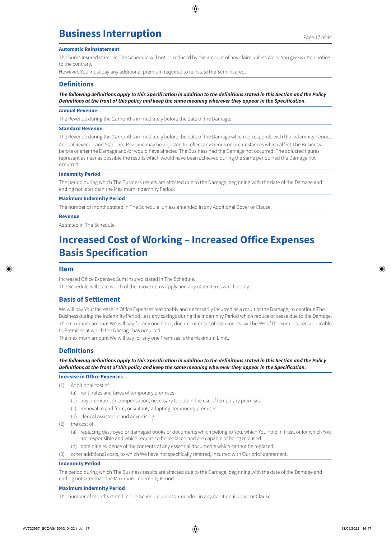#### **Automatic Reinstatement**

The Sums Insured stated in The Schedule will not be reduced by the amount of any claim unless We or You give written notice to the contrary.

However, You must pay any additional premium required to reinstate the Sum Insured.

### **Definitions**

*The following definitions apply to this Specification in addition to the definitions stated in this Section and the Policy Definitions at the front of this policy and keep the same meaning wherever they appear in the Specification.*

#### **Annual Revenue**

The Revenue during the 12 months immediately before the date of the Damage.

#### **Standard Revenue**

The Revenue during the 12 months immediately before the date of the Damage which corresponds with the Indemnity Period. Annual Revenue and Standard Revenue may be adjusted to reflect any trends or circumstances which affect The Business before or after the Damage and/or would have affected The Business had the Damage not occurred. The adjusted figures represent as near as possible the results which would have been achieved during the same period had the Damage not occurred.

#### **Indemnity Period**

The period during which The Business results are affected due to the Damage, beginning with the date of the Damage and ending not later than the Maximum Indemnity Period.

#### **Maximum Indemnity Period**

The number of months stated in The Schedule, unless amended in any Additional Cover or Clause.

#### **Revenue**

As stated in The Schedule.

## **Increased Cost of Working – Increased Office Expenses Basis Specification**

#### **Item**

Increased Office Expenses Sum Insured stated in The Schedule. The Schedule will state which of the above items apply and any other items which apply.

## **Basis of Settlement**

We will pay Your Increase in Office Expenses reasonably and necessarily incurred as a result of the Damage, to continue The Business during the Indemnity Period, less any savings during the Indemnity Period which reduce or cease due to the Damage. The maximum amount We will pay for any one book, document or set of documents, will be 5% of the Sum Insured applicable to Premises at which the Damage has occurred.

The maximum amount We will pay for any one Premises is the Maximum Limit.

## **Definitions**

*The following definitions apply to this Specification in addition to the definitions stated in this Section and the Policy Definitions at the front of this policy and keep the same meaning wherever they appear in the Specification.*

#### **Increase in Office Expenses**

(1) Additional cost of

- (a) rent, rates and taxes of temporary premises
- (b) any premium, or compensation, necessary to obtain the use of temporary premises
- (c) removal to and from, or suitably adapting, temporary premises
- (d) clerical assistance and advertising
- (2) the cost of
	- (a) replacing destroyed or damaged books or documents which belong to You, which You hold in trust, or for which You are responsible and which require to be replaced and are capable of being replaced
	- (b) obtaining evidence of the contents of any essential documents which cannot be replaced
- (3) other additional costs, to which We have not specifically referred, incurred with Our prior agreement.

#### **Indemnity Period**

The period during which The Business results are affected due to the Damage, beginning with the date of the Damage and ending not later than the Maximum Indemnity Period.

#### **Maximum Indemnity Period**

The number of months stated in The Schedule, unless amended in any Additional Cover or Clause.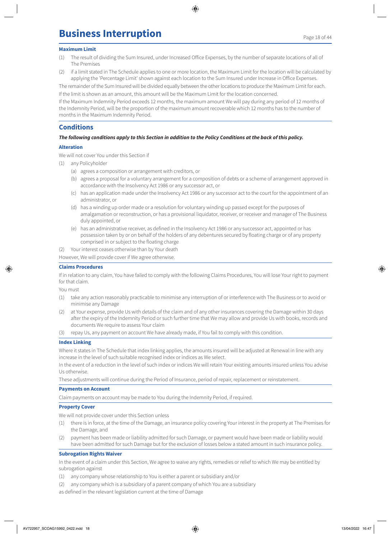#### **Maximum Limit**

- (1) The result of dividing the Sum Insured, under Increased Office Expenses, by the number of separate locations of all of The Premises
- (2) if a limit stated in The Schedule applies to one or more location, the Maximum Limit for the location will be calculated by applying the 'Percentage Limit' shown against each location to the Sum Insured under Increase in Office Expenses.

The remainder of the Sum Insured will be divided equally between the other locations to produce the Maximum Limit for each. If the limit is shown as an amount, this amount will be the Maximum Limit for the location concerned.

If the Maximum Indemnity Period exceeds 12 months, the maximum amount We will pay during any period of 12 months of the Indemnity Period, will be the proportion of the maximum amount recoverable which 12 months has to the number of months in the Maximum Indemnity Period.

## **Conditions**

#### *The following conditions apply to this Section in addition to the Policy Conditions at the back of this policy.*

#### **Alteration**

We will not cover You under this Section if

- (1) any Policyholder
	- (a) agrees a composition or arrangement with creditors, or
	- (b) agrees a proposal for a voluntary arrangement for a composition of debts or a scheme of arrangement approved in accordance with the Insolvency Act 1986 or any successor act, or
	- (c) has an application made under the Insolvency Act 1986 or any successor act to the court for the appointment of an administrator, or
	- (d) has a winding up order made or a resolution for voluntary winding up passed except for the purposes of amalgamation or reconstruction, or has a provisional liquidator, receiver, or receiver and manager of The Business duly appointed, or
	- (e) has an administrative receiver, as defined in the Insolvency Act 1986 or any successor act, appointed or has possession taken by or on behalf of the holders of any debentures secured by floating charge or of any property comprised in or subject to the floating charge

(2) Your interest ceases otherwise than by Your death

However, We will provide cover if We agree otherwise.

#### **Claims Procedures**

If in relation to any claim, You have failed to comply with the following Claims Procedures, You will lose Your right to payment for that claim.

You must

- (1) take any action reasonably practicable to minimise any interruption of or interference with The Business or to avoid or minimise any Damage
- (2) at Your expense, provide Us with details of the claim and of any other insurances covering the Damage within 30 days after the expiry of the Indemnity Period or such further time that We may allow and provide Us with books, records and documents We require to assess Your claim
- (3) repay Us, any payment on account We have already made, if You fail to comply with this condition.

#### **Index Linking**

Where it states in The Schedule that index linking applies, the amounts insured will be adjusted at Renewal in line with any increase in the level of such suitable recognised index or indices as We select.

In the event of a reduction in the level of such index or indices We will retain Your existing amounts insured unless You advise Us otherwise.

These adjustments will continue during the Period of Insurance, period of repair, replacement or reinstatement.

#### **Payments on Account**

Claim payments on account may be made to You during the Indemnity Period, if required.

#### **Property Cover**

We will not provide cover under this Section unless

- there is in force, at the time of the Damage, an insurance policy covering Your interest in the property at The Premises for the Damage, and
- (2) payment has been made or liability admitted for such Damage, or payment would have been made or liability would have been admitted for such Damage but for the exclusion of losses below a stated amount in such insurance policy.

#### **Subrogation Rights Waiver**

In the event of a claim under this Section, We agree to waive any rights, remedies or relief to which We may be entitled by subrogation against

- (1) any company whose relationship to You is either a parent or subsidiary and/or
- (2) any company which is a subsidiary of a parent company of which You are a subsidiary

as defined in the relevant legislation current at the time of Damage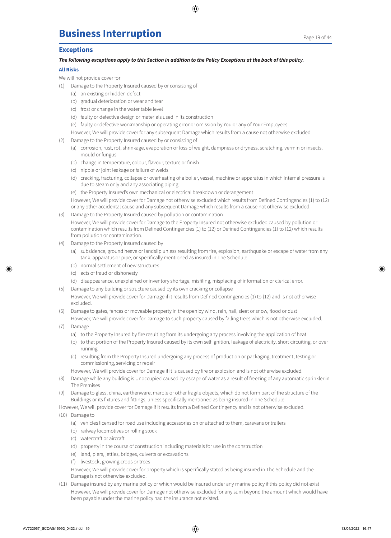## **Exceptions**

### *The following exceptions apply to this Section in addition to the Policy Exceptions at the back of this policy.*

### **All Risks**

- We will not provide cover for
- (1) Damage to the Property Insured caused by or consisting of
	- (a) an existing or hidden defect
	- (b) gradual deterioration or wear and tear
	- (c) frost or change in the water table level
	- (d) faulty or defective design or materials used in its construction
	- (e) faulty or defective workmanship or operating error or omission by You or any of Your Employees
	- However, We will provide cover for any subsequent Damage which results from a cause not otherwise excluded.
- (2) Damage to the Property Insured caused by or consisting of
	- (a) corrosion, rust, rot, shrinkage, evaporation or loss of weight, dampness or dryness, scratching, vermin or insects, mould or fungus
	- (b) change in temperature, colour, flavour, texture or finish
	- (c) nipple or joint leakage or failure of welds
	- (d) cracking, fracturing, collapse or overheating of a boiler, vessel, machine or apparatus in which internal pressure is due to steam only and any associating piping
	- (e) the Property Insured's own mechanical or electrical breakdown or derangement

However, We will provide cover for Damage not otherwise excluded which results from Defined Contingencies (1) to (12) or any other accidental cause and any subsequent Damage which results from a cause not otherwise excluded.

(3) Damage to the Property Insured caused by pollution or contamination

However, We will provide cover for Damage to the Property Insured not otherwise excluded caused by pollution or contamination which results from Defined Contingencies (1) to (12) or Defined Contingencies (1) to (12) which results from pollution or contamination.

- (4) Damage to the Property Insured caused by
	- (a) subsidence, ground heave or landslip unless resulting from fire, explosion, earthquake or escape of water from any tank, apparatus or pipe, or specifically mentioned as insured in The Schedule
	- (b) normal settlement of new structures
	- (c) acts of fraud or dishonesty
	- (d) disappearance, unexplained or inventory shortage, misfiling, misplacing of information or clerical error.
- (5) Damage to any building or structure caused by its own cracking or collapse
- However, We will provide cover for Damage if it results from Defined Contingencies (1) to (12) and is not otherwise excluded.
- (6) Damage to gates, fences or moveable property in the open by wind, rain, hail, sleet or snow, flood or dust However, We will provide cover for Damage to such property caused by falling trees which is not otherwise excluded.
- (7) Damage
	- (a) to the Property Insured by fire resulting from its undergoing any process involving the application of heat
	- (b) to that portion of the Property Insured caused by its own self ignition, leakage of electricity, short circuiting, or over running
	- (c) resulting from the Property Insured undergoing any process of production or packaging, treatment, testing or commissioning, servicing or repair
	- However, We will provide cover for Damage if it is caused by fire or explosion and is not otherwise excluded.
- (8) Damage while any building is Unoccupied caused by escape of water as a result of freezing of any automatic sprinkler in The Premises
- (9) Damage to glass, china, earthenware, marble or other fragile objects, which do not form part of the structure of the Buildings or its fixtures and fittings, unless specifically mentioned as being insured in The Schedule

However, We will provide cover for Damage if it results from a Defined Contingency and is not otherwise excluded.

- (10) Damage to
	- (a) vehicles licensed for road use including accessories on or attached to them, caravans or trailers
	- (b) railway locomotives or rolling stock
	- (c) watercraft or aircraft
	- (d) property in the course of construction including materials for use in the construction
	- (e) land, piers, jetties, bridges, culverts or excavations
	- (f) livestock, growing crops or trees

However, We will provide cover for property which is specifically stated as being insured in The Schedule and the Damage is not otherwise excluded.

(11) Damage insured by any marine policy or which would be insured under any marine policy if this policy did not exist However, We will provide cover for Damage not otherwise excluded for any sum beyond the amount which would have been payable under the marine policy had the insurance not existed.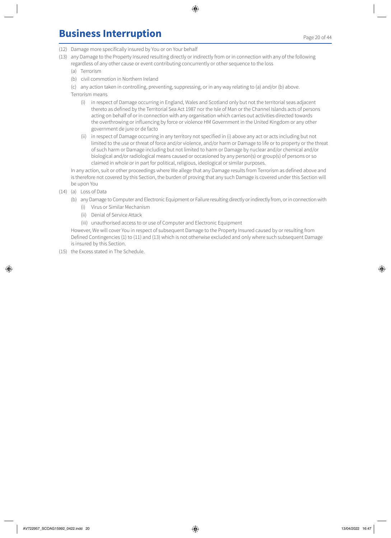- (12) Damage more specifically insured by You or on Your behalf
- (13) any Damage to the Property Insured resulting directly or indirectly from or in connection with any of the following regardless of any other cause or event contributing concurrently or other sequence to the loss
	- (a) Terrorism
	- (b) civil commotion in Northern Ireland

(c) any action taken in controlling, preventing, suppressing, or in any way relating to (a) and/or (b) above.

Terrorism means

- (i) in respect of Damage occurring in England, Wales and Scotland only but not the territorial seas adjacent thereto as defined by the Territorial Sea Act 1987 nor the Isle of Man or the Channel Islands acts of persons acting on behalf of or in connection with any organisation which carries out activities directed towards the overthrowing or influencing by force or violence HM Government in the United Kingdom or any other government de jure or de facto
- (ii) in respect of Damage occurring in any territory not specified in (i) above any act or acts including but not limited to the use or threat of force and/or violence, and/or harm or Damage to life or to property or the threat of such harm or Damage including but not limited to harm or Damage by nuclear and/or chemical and/or biological and/or radiological means caused or occasioned by any person(s) or group(s) of persons or so claimed in whole or in part for political, religious, ideological or similar purposes.

In any action, suit or other proceedings where We allege that any Damage results from Terrorism as defined above and is therefore not covered by this Section, the burden of proving that any such Damage is covered under this Section will be upon You

- (14) (a) Loss of Data
	- (b) any Damage to Computer and Electronic Equipment or Failure resulting directly or indirectly from, or in connection with
		- (i) Virus or Similar Mechanism
		- (ii) Denial of Service Attack
		- (iii) unauthorised access to or use of Computer and Electronic Equipment

However, We will cover You in respect of subsequent Damage to the Property Insured caused by or resulting from Defined Contingencies (1) to (11) and (13) which is not otherwise excluded and only where such subsequent Damage is insured by this Section.

(15) the Excess stated in The Schedule.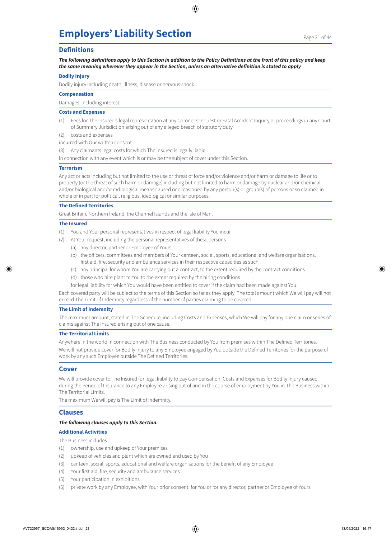## **Employers' Liability Section**

## **Definitions**

*The following definitions apply to this Section in addition to the Policy Definitions at the front of this policy and keep the same meaning wherever they appear in the Section, unless an alternative definition is stated to apply*

#### **Bodily Injury**

Bodily injury including death, illness, disease or nervous shock.

#### **Compensation**

Damages, including interest.

#### **Costs and Expenses**

- (1) Fees for The Insured's legal representation at any Coroner's Inquest or Fatal Accident Inquiry or proceedings in any Court of Summary Jurisdiction arising out of any alleged breach of statutory duty
- (2) costs and expenses
- incurred with Our written consent
- (3) Any claimants legal costs for which The Insured is legally liable

in connection with any event which is or may be the subject of cover under this Section.

#### **Terrorism**

Any act or acts including but not limited to the use or threat of force and/or violence and/or harm or damage to life or to property (or the threat of such harm or damage) including but not limited to harm or damage by nuclear and/or chemical and/or biological and/or radiological means caused or occasioned by any person(s) or group(s) of persons or so claimed in whole or in part for political, religious, ideological or similar purposes.

### **The Defined Territories**

Great Britain, Northern Ireland, the Channel Islands and the Isle of Man.

#### **The Insured**

- (1) You and Your personal representatives in respect of legal liability You incur
- (2) At Your request, including the personal representatives of these persons
	- (a) any director, partner or Employee of Yours
	- (b) the officers, committees and members of Your canteen, social, sports, educational and welfare organisations, first aid, fire, security and ambulance services in their respective capacities as such
	- (c) any principal for whom You are carrying out a contract, to the extent required by the contract conditions
	- (d) those who hire plant to You to the extent required by the hiring conditions
	- for legal liability for which You would have been entitled to cover if the claim had been made against You.

Each covered party will be subject to the terms of this Section so far as they apply. The total amount which We will pay will not exceed The Limit of Indemnity regardless of the number of parties claiming to be covered.

#### **The Limit of Indemnity**

The maximum amount, stated in The Schedule, including Costs and Expenses, which We will pay for any one claim or series of claims against The Insured arising out of one cause.

#### **The Territorial Limits**

Anywhere in the world in connection with The Business conducted by You from premises within The Defined Territories. We will not provide cover for Bodily Injury to any Employee engaged by You outside the Defined Territories for the purpose of work by any such Employee outside The Defined Territories.

## **Cover**

We will provide cover to The Insured for legal liability to pay Compensation, Costs and Expenses for Bodily Injury caused during the Period of Insurance to any Employee arising out of and in the course of employment by You in The Business within The Territorial Limits.

The maximum We will pay is The Limit of Indemnity.

## **Clauses**

## *The following clauses apply to this Section.*

#### **Additional Activities**

The Business includes

- (1) ownership, use and upkeep of Your premises
- (2) upkeep of vehicles and plant which are owned and used by You
- (3) canteen, social, sports, educational and welfare organisations for the benefit of any Employee
- (4) Your first aid, fire, security and ambulance services
- (5) Your participation in exhibitions
- (6) private work by any Employee, with Your prior consent, for You or for any director, partner or Employee of Yours.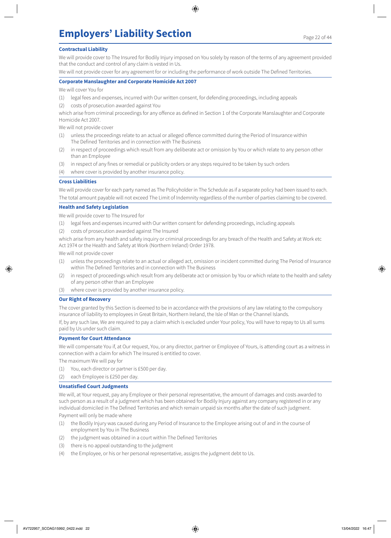## **Employers' Liability Section**

## **Contractual Liability**

We will provide cover to The Insured for Bodily Injury imposed on You solely by reason of the terms of any agreement provided that the conduct and control of any claim is vested in Us.

We will not provide cover for any agreement for or including the performance of work outside The Defined Territories.

#### **Corporate Manslaughter and Corporate Homicide Act 2007**

We will cover You for

- (1) legal fees and expenses, incurred with Our written consent, for defending proceedings, including appeals
- (2) costs of prosecution awarded against You

which arise from criminal proceedings for any offence as defined in Section 1 of the Corporate Manslaughter and Corporate Homicide Act 2007.

We will not provide cover

- (1) unless the proceedings relate to an actual or alleged offence committed during the Period of Insurance within The Defined Territories and in connection with The Business
- (2) in respect of proceedings which result from any deliberate act or omission by You or which relate to any person other than an Employee
- (3) in respect of any fines or remedial or publicity orders or any steps required to be taken by such orders
- (4) where cover is provided by another insurance policy.

#### **Cross Liabilities**

We will provide cover for each party named as The Policyholder in The Schedule as if a separate policy had been issued to each. The total amount payable will not exceed The Limit of Indemnity regardless of the number of parties claiming to be covered.

### **Health and Safety Legislation**

We will provide cover to The Insured for

- (1) legal fees and expenses incurred with Our written consent for defending proceedings, including appeals
- (2) costs of prosecution awarded against The Insured

which arise from any health and safety inquiry or criminal proceedings for any breach of the Health and Safety at Work etc Act 1974 or the Health and Safety at Work (Northern Ireland) Order 1978.

We will not provide cover

- (1) unless the proceedings relate to an actual or alleged act, omission or incident committed during The Period of Insurance within The Defined Territories and in connection with The Business
- (2) in respect of proceedings which result from any deliberate act or omission by You or which relate to the health and safety of any person other than an Employee
- (3) where cover is provided by another insurance policy.

#### **Our Right of Recovery**

The cover granted by this Section is deemed to be in accordance with the provisions of any law relating to the compulsory insurance of liability to employees in Great Britain, Northern Ireland, the Isle of Man or the Channel Islands.

If, by any such law, We are required to pay a claim which is excluded under Your policy, You will have to repay to Us all sums paid by Us under such claim.

#### **Payment for Court Attendance**

We will compensate You if, at Our request, You, or any director, partner or Employee of Yours, is attending court as a witness in connection with a claim for which The Insured is entitled to cover.

The maximum We will pay for

- (1) You, each director or partner is £500 per day.
- (2) each Employee is £250 per day.

#### **Unsatisfied Court Judgments**

We will, at Your request, pay any Employee or their personal representative, the amount of damages and costs awarded to such person as a result of a judgment which has been obtained for Bodily Injury against any company registered in or any individual domiciled in The Defined Territories and which remain unpaid six months after the date of such judgment.

Payment will only be made where

- (1) the Bodily Injury was caused during any Period of Insurance to the Employee arising out of and in the course of employment by You in The Business
- (2) the judgment was obtained in a court within The Defined Territories
- (3) there is no appeal outstanding to the judgment
- (4) the Employee, or his or her personal representative, assigns the judgment debt to Us.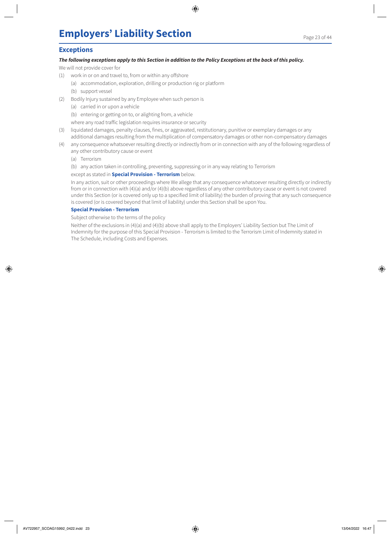## **Exceptions**

#### *The following exceptions apply to this Section in addition to the Policy Exceptions at the back of this policy.*

We will not provide cover for

- (1) work in or on and travel to, from or within any offshore
	- (a) accommodation, exploration, drilling or production rig or platform (b) support vessel
- (2) Bodily Injury sustained by any Employee when such person is
	- (a) carried in or upon a vehicle
	- (b) entering or getting on to, or alighting from, a vehicle
	- where any road traffic legislation requires insurance or security
- (3) liquidated damages, penalty clauses, fines, or aggravated, restitutionary, punitive or exemplary damages or any additional damages resulting from the multiplication of compensatory damages or other non-compensatory damages
- (4) any consequence whatsoever resulting directly or indirectly from or in connection with any of the following regardless of any other contributory cause or event
	- (a) Terrorism
	- (b) any action taken in controlling, preventing, suppressing or in any way relating to Terrorism

#### except as stated in **Special Provision - Terrorism** below.

In any action, suit or other proceedings where We allege that any consequence whatsoever resulting directly or indirectly from or in connection with (4)(a) and/or (4)(b) above regardless of any other contributory cause or event is not covered under this Section (or is covered only up to a specified limit of liability) the burden of proving that any such consequence is covered (or is covered beyond that limit of liability) under this Section shall be upon You.

### **Special Provision - Terrorism**

Subject otherwise to the terms of the policy

Neither of the exclusions in (4)(a) and (4)(b) above shall apply to the Employers' Liability Section but The Limit of Indemnity for the purpose of this Special Provision - Terrorism is limited to the Terrorism Limit of Indemnity stated in The Schedule, including Costs and Expenses.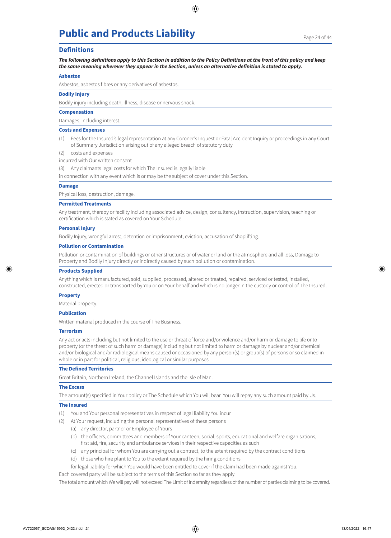## **Public and Products Liability** Page 24 of 44

## **Definitions**

*The following definitions apply to this Section in addition to the Policy Definitions at the front of this policy and keep the same meaning wherever they appear in the Section, unless an alternative definition is stated to apply.*

#### **Asbestos**

Asbestos, asbestos fibres or any derivatives of asbestos.

#### **Bodily Injury**

Bodily injury including death, illness, disease or nervous shock.

#### **Compensation**

Damages, including interest.

#### **Costs and Expenses**

(1) Fees for the Insured's legal representation at any Coroner's Inquest or Fatal Accident Inquiry or proceedings in any Court of Summary Jurisdiction arising out of any alleged breach of statutory duty

(2) costs and expenses

incurred with Our written consent

(3) Any claimants legal costs for which The Insured is legally liable

in connection with any event which is or may be the subject of cover under this Section.

#### **Damage**

Physical loss, destruction, damage.

#### **Permitted Treatments**

Any treatment, therapy or facility including associated advice, design, consultancy, instruction, supervision, teaching or certification which is stated as covered on Your Schedule.

#### **Personal Injury**

Bodily Injury, wrongful arrest, detention or imprisonment, eviction, accusation of shoplifting.

#### **Pollution or Contamination**

Pollution or contamination of buildings or other structures or of water or land or the atmosphere and all loss, Damage to Property and Bodily Injury directly or indirectly caused by such pollution or contamination.

#### **Products Supplied**

Anything which is manufactured, sold, supplied, processed, altered or treated, repaired, serviced or tested, installed, constructed, erected or transported by You or on Your behalf and which is no longer in the custody or control of The Insured.

#### **Property**

Material property.

#### **Publication**

Written material produced in the course of The Business.

#### **Terrorism**

Any act or acts including but not limited to the use or threat of force and/or violence and/or harm or damage to life or to property (or the threat of such harm or damage) including but not limited to harm or damage by nuclear and/or chemical and/or biological and/or radiological means caused or occasioned by any person(s) or group(s) of persons or so claimed in whole or in part for political, religious, ideological or similar purposes.

#### **The Defined Territories**

Great Britain, Northern Ireland, the Channel Islands and the Isle of Man.

#### **The Excess**

The amount(s) specified in Your policy or The Schedule which You will bear. You will repay any such amount paid by Us.

#### **The Insured**

- (1) You and Your personal representatives in respect of legal liability You incur
- (2) At Your request, including the personal representatives of these persons
	- (a) any director, partner or Employee of Yours
	- (b) the officers, committees and members of Your canteen, social, sports, educational and welfare organisations, first aid, fire, security and ambulance services in their respective capacities as such
	- (c) any principal for whom You are carrying out a contract, to the extent required by the contract conditions
	- (d) those who hire plant to You to the extent required by the hiring conditions
	- for legal liability for which You would have been entitled to cover if the claim had been made against You.

Each covered party will be subject to the terms of this Section so far as they apply.

The total amount which We will pay will not exceed The Limit of Indemnity regardless of the number of parties claiming to be covered.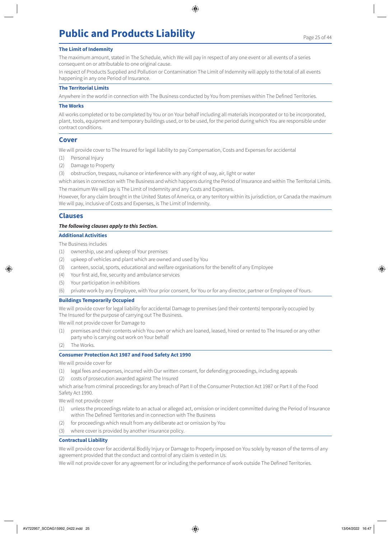## **Public and Products Liability** Page 25 of 44

#### **The Limit of Indemnity**

The maximum amount, stated in The Schedule, which We will pay in respect of any one event or all events of a series consequent on or attributable to one original cause.

In respect of Products Supplied and Pollution or Contamination The Limit of Indemnity will apply to the total of all events happening in any one Period of Insurance.

#### **The Territorial Limits**

Anywhere in the world in connection with The Business conducted by You from premises within The Defined Territories.

#### **The Works**

All works completed or to be completed by You or on Your behalf including all materials incorporated or to be incorporated, plant, tools, equipment and temporary buildings used, or to be used, for the period during which You are responsible under contract conditions.

## **Cover**

We will provide cover to The Insured for legal liability to pay Compensation, Costs and Expenses for accidental

- (1) Personal Injury
- (2) Damage to Property
- (3) obstruction, trespass, nuisance or interference with any right of way, air, light or water

which arises in connection with The Business and which happens during the Period of Insurance and within The Territorial Limits. The maximum We will pay is The Limit of Indemnity and any Costs and Expenses.

However, for any claim brought in the United States of America, or any territory within its jurisdiction, or Canada the maximum We will pay, inclusive of Costs and Expenses, is The Limit of Indemnity.

#### **Clauses**

#### *The following clauses apply to this Section.*

### **Additional Activities**

The Business includes

- (1) ownership, use and upkeep of Your premises
- (2) upkeep of vehicles and plant which are owned and used by You
- (3) canteen, social, sports, educational and welfare organisations for the benefit of any Employee
- (4) Your first aid, fire, security and ambulance services
- (5) Your participation in exhibitions
- (6) private work by any Employee, with Your prior consent, for You or for any director, partner or Employee of Yours.

## **Buildings Temporarily Occupied**

We will provide cover for legal liability for accidental Damage to premises (and their contents) temporarily occupied by The Insured for the purpose of carrying out The Business.

We will not provide cover for Damage to

- (1) premises and their contents which You own or which are loaned, leased, hired or rented to The Insured or any other party who is carrying out work on Your behalf
- (2) The Works.

#### **Consumer Protection Act 1987 and Food Safety Act 1990**

We will provide cover for

- (1) legal fees and expenses, incurred with Our written consent, for defending proceedings, including appeals
- (2) costs of prosecution awarded against The Insured

which arise from criminal proceedings for any breach of Part II of the Consumer Protection Act 1987 or Part II of the Food Safety Act 1990.

We will not provide cover

- (1) unless the proceedings relate to an actual or alleged act, omission or incident committed during the Period of Insurance within The Defined Territories and in connection with The Business
- (2) for proceedings which result from any deliberate act or omission by You
- (3) where cover is provided by another insurance policy.

#### **Contractual Liability**

We will provide cover for accidental Bodily Injury or Damage to Property imposed on You solely by reason of the terms of any agreement provided that the conduct and control of any claim is vested in Us.

We will not provide cover for any agreement for or including the performance of work outside The Defined Territories.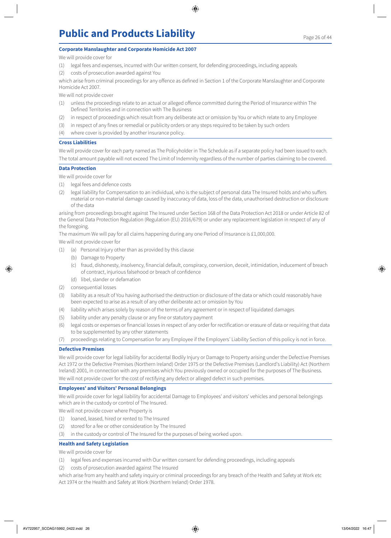### **Corporate Manslaughter and Corporate Homicide Act 2007**

We will provide cover for

- (1) legal fees and expenses, incurred with Our written consent, for defending proceedings, including appeals
- (2) costs of prosecution awarded against You

which arise from criminal proceedings for any offence as defined in Section 1 of the Corporate Manslaughter and Corporate Homicide Act 2007.

We will not provide cover

- (1) unless the proceedings relate to an actual or alleged offence committed during the Period of Insurance within The Defined Territories and in connection with The Business
- (2) in respect of proceedings which result from any deliberate act or omission by You or which relate to any Employee
- (3) in respect of any fines or remedial or publicity orders or any steps required to be taken by such orders
- (4) where cover is provided by another insurance policy.

#### **Cross Liabilities**

We will provide cover for each party named as The Policyholder in The Schedule as if a separate policy had been issued to each. The total amount payable will not exceed The Limit of Indemnity regardless of the number of parties claiming to be covered.

#### **Data Protection**

We will provide cover for

- (1) legal fees and defence costs
- (2) legal liability for Compensation to an individual, who is the subject of personal data The Insured holds and who suffers material or non-material damage caused by inaccuracy of data, loss of the data, unauthorised destruction or disclosure of the data

arising from proceedings brought against The Insured under Section 168 of the Data Protection Act 2018 or under Article 82 of the General Data Protection Regulation (Regulation (EU) 2016/679) or under any replacement legislation in respect of any of the foregoing.

The maximum We will pay for all claims happening during any one Period of Insurance is £1,000,000.

We will not provide cover for

- (1) (a) Personal Injury other than as provided by this clause
	- (b) Damage to Property
	- (c) fraud, dishonesty, insolvency, financial default, conspiracy, conversion, deceit, intimidation, inducement of breach of contract, injurious falsehood or breach of confidence
	- (d) libel, slander or defamation
- (2) consequential losses
- (3) liability as a result of You having authorised the destruction or disclosure of the data or which could reasonably have been expected to arise as a result of any other deliberate act or omission by You
- (4) liability which arises solely by reason of the terms of any agreement or in respect of liquidated damages
- (5) liability under any penalty clause or any fine or statutory payment
- (6) legal costs or expenses or financial losses in respect of any order for rectification or erasure of data or requiring that data to be supplemented by any other statements
- (7) proceedings relating to Compensation for any Employee if the Employers' Liability Section of this policy is not in force.

#### **Defective Premises**

We will provide cover for legal liability for accidental Bodily Injury or Damage to Property arising under the Defective Premises Act 1972 or the Defective Premises (Northern Ireland) Order 1975 or the Defective Premises (Landlord's Liability) Act (Northern Ireland) 2001, in connection with any premises which You previously owned or occupied for the purposes of The Business. We will not provide cover for the cost of rectifying any defect or alleged defect in such premises.

#### **Employees' and Visitors' Personal Belongings**

We will provide cover for legal liability for accidental Damage to Employees' and visitors' vehicles and personal belongings which are in the custody or control of The Insured.

We will not provide cover where Property is

- (1) loaned, leased, hired or rented to The Insured
- (2) stored for a fee or other consideration by The Insured
- (3) in the custody or control of The Insured for the purposes of being worked upon.

## **Health and Safety Legislation**

We will provide cover for

- (1) legal fees and expenses incurred with Our written consent for defending proceedings, including appeals
- (2) costs of prosecution awarded against The Insured

which arise from any health and safety inquiry or criminal proceedings for any breach of the Health and Safety at Work etc Act 1974 or the Health and Safety at Work (Northern Ireland) Order 1978.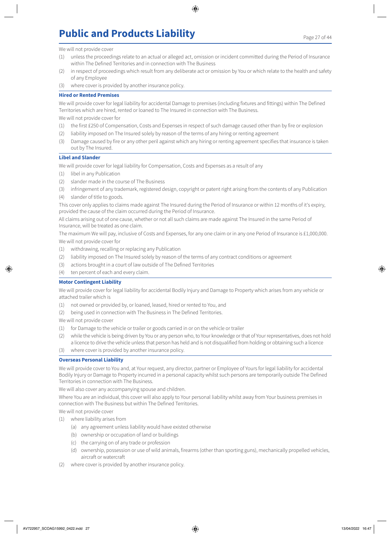#### We will not provide cover

- (1) unless the proceedings relate to an actual or alleged act, omission or incident committed during the Period of Insurance within The Defined Territories and in connection with The Business
- (2) in respect of proceedings which result from any deliberate act or omission by You or which relate to the health and safety of any Employee
- (3) where cover is provided by another insurance policy.

### **Hired or Rented Premises**

We will provide cover for legal liability for accidental Damage to premises (including fixtures and fittings) within The Defined Territories which are hired, rented or loaned to The Insured in connection with The Business.

We will not provide cover for

- (1) the first £250 of Compensation, Costs and Expenses in respect of such damage caused other than by fire or explosion
- (2) liability imposed on The Insured solely by reason of the terms of any hiring or renting agreement
- Damage caused by fire or any other peril against which any hiring or renting agreement specifies that insurance is taken out by The Insured.

## **Libel and Slander**

We will provide cover for legal liability for Compensation, Costs and Expenses as a result of any

- (1) libel in any Publication
- (2) slander made in the course of The Business
- (3) infringement of any trademark, registered design, copyright or patent right arising from the contents of any Publication
- (4) slander of title to goods.

This cover only applies to claims made against The Insured during the Period of Insurance or within 12 months of it's expiry, provided the cause of the claim occurred during the Period of Insurance.

All claims arising out of one cause, whether or not all such claims are made against The Insured in the same Period of Insurance, will be treated as one claim.

The maximum We will pay, inclusive of Costs and Expenses, for any one claim or in any one Period of Insurance is £1,000,000. We will not provide cover for

- (1) withdrawing, recalling or replacing any Publication
- (2) liability imposed on The Insured solely by reason of the terms of any contract conditions or agreement
- (3) actions brought in a court of law outside of The Defined Territories
- (4) ten percent of each and every claim.

#### **Motor Contingent Liability**

We will provide cover for legal liability for accidental Bodily Injury and Damage to Property which arises from any vehicle or attached trailer which is

- (1) not owned or provided by, or loaned, leased, hired or rented to You, and
- (2) being used in connection with The Business in The Defined Territories.

We will not provide cover

- (1) for Damage to the vehicle or trailer or goods carried in or on the vehicle or trailer
- (2) while the vehicle is being driven by You or any person who, to Your knowledge or that of Your representatives, does not hold a licence to drive the vehicle unless that person has held and is not disqualified from holding or obtaining such a licence
- (3) where cover is provided by another insurance policy.

#### **Overseas Personal Liability**

We will provide cover to You and, at Your request, any director, partner or Employee of Yours for legal liability for accidental Bodily Injury or Damage to Property incurred in a personal capacity whilst such persons are temporarily outside The Defined Territories in connection with The Business.

We will also cover any accompanying spouse and children.

Where You are an individual, this cover will also apply to Your personal liability whilst away from Your business premises in connection with The Business but within The Defined Territories.

We will not provide cover

- (1) where liability arises from
	- (a) any agreement unless liability would have existed otherwise
	- (b) ownership or occupation of land or buildings
	- (c) the carrying on of any trade or profession
	- (d) ownership, possession or use of wild animals, firearms (other than sporting guns), mechanically propelled vehicles, aircraft or watercraft
- (2) where cover is provided by another insurance policy.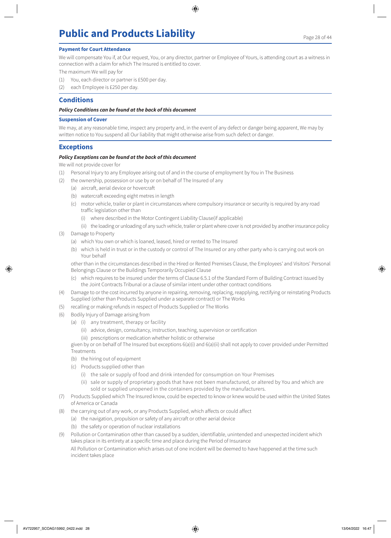### **Payment for Court Attendance**

We will compensate You if, at Our request, You, or any director, partner or Employee of Yours, is attending court as a witness in connection with a claim for which The Insured is entitled to cover.

The maximum We will pay for

- (1) You, each director or partner is £500 per day.
- (2) each Employee is £250 per day.

## **Conditions**

#### *Policy Conditions can be found at the back of this document*

#### **Suspension of Cover**

We may, at any reasonable time, inspect any property and, in the event of any defect or danger being apparent, We may by written notice to You suspend all Our liability that might otherwise arise from such defect or danger.

## **Exceptions**

#### *Policy Exceptions can be found at the back of this document*

We will not provide cover for

- (1) Personal Injury to any Employee arising out of and in the course of employment by You in The Business
- (2) the ownership, possession or use by or on behalf of The Insured of any
	- (a) aircraft, aerial device or hovercraft
	- (b) watercraft exceeding eight metres in length
	- (c) motor vehicle, trailer or plant in circumstances where compulsory insurance or security is required by any road traffic legislation other than
		- (i) where described in the Motor Contingent Liability Clause(if applicable)
		- (ii) the loading or unloading of any such vehicle, trailer or plant where cover is not provided by another insurance policy
- (3) Damage to Property
	- (a) which You own or which is loaned, leased, hired or rented to The Insured
	- (b) which is held in trust or in the custody or control of The Insured or any other party who is carrying out work on Your behalf

other than in the circumstances described in the Hired or Rented Premises Clause, the Employees' and Visitors' Personal Belongings Clause or the Buildings Temporarily Occupied Clause

- (c) which requires to be insured under the terms of Clause 6.5.1 of the Standard Form of Building Contract issued by the Joint Contracts Tribunal or a clause of similar intent under other contract conditions
- (4) Damage to or the cost incurred by anyone in repairing, removing, replacing, reapplying, rectifying or reinstating Products Supplied (other than Products Supplied under a separate contract) or The Works
- (5) recalling or making refunds in respect of Products Supplied or The Works
- (6) Bodily Injury of Damage arising from
	- (a) (i) any treatment, therapy or facility
		- (ii) advice, design, consultancy, instruction, teaching, supervision or certification
		- (iii) prescriptions or medication whether holistic or otherwise

given by or on behalf of The Insured but exceptions  $6(a)(i)$  and  $6(a)(ii)$  shall not apply to cover provided under Permitted Treatments

- (b) the hiring out of equipment
- (c) Products supplied other than
	- (i) the sale or supply of food and drink intended for consumption on Your Premises
	- (ii) sale or supply of proprietary goods that have not been manufactured, or altered by You and which are sold or supplied unopened in the containers provided by the manufacturers.
- (7) Products Supplied which The Insured know, could be expected to know or knew would be used within the United States of America or Canada
- (8) the carrying out of any work, or any Products Supplied, which affects or could affect
	- (a) the navigation, propulsion or safety of any aircraft or other aerial device
	- (b) the safety or operation of nuclear installations
- (9) Pollution or Contamination other than caused by a sudden, identifiable, unintended and unexpected incident which takes place in its entirety at a specific time and place during the Period of Insurance

All Pollution or Contamination which arises out of one incident will be deemed to have happened at the time such incident takes place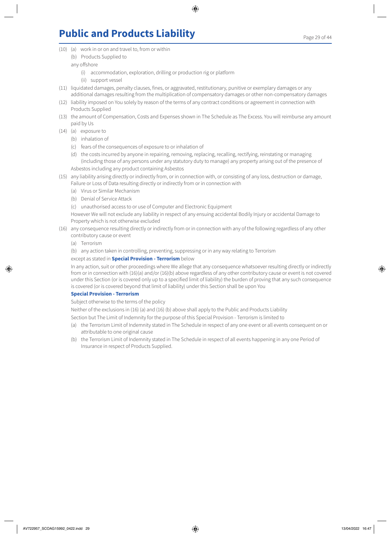(10) (a) work in or on and travel to, from or within (b) Products Supplied to

any offshore

- (i) accommodation, exploration, drilling or production rig or platform
- (ii) support vessel
- (11) liquidated damages, penalty clauses, fines, or aggravated, restitutionary, punitive or exemplary damages or any additional damages resulting from the multiplication of compensatory damages or other non-compensatory damages
- (12) liability imposed on You solely by reason of the terms of any contract conditions or agreement in connection with Products Supplied
- (13) the amount of Compensation, Costs and Expenses shown in The Schedule as The Excess. You will reimburse any amount paid by Us
- (14) (a) exposure to
	- (b) inhalation of
		- (c) fears of the consequences of exposure to or inhalation of
		- (d) the costs incurred by anyone in repairing, removing, replacing, recalling, rectifying, reinstating or managing (including those of any persons under any statutory duty to manage) any property arising out of the presence of Asbestos including any product containing Asbestos
- (15) any liability arising directly or indirectly from, or in connection with, or consisting of any loss, destruction or damage, Failure or Loss of Data resulting directly or indirectly from or in connection with
	- (a) Virus or Similar Mechanism
	- (b) Denial of Service Attack
	- (c) unauthorised access to or use of Computer and Electronic Equipment

However We will not exclude any liability in respect of any ensuing accidental Bodily Injury or accidental Damage to Property which is not otherwise excluded

- (16) any consequence resulting directly or indirectly from or in connection with any of the following regardless of any other contributory cause or event
	- (a) Terrorism
	- (b) any action taken in controlling, preventing, suppressing or in any way relating to Terrorism

## except as stated in **Special Provision - Terrorism** below

In any action, suit or other proceedings where We allege that any consequence whatsoever resulting directly or indirectly from or in connection with (16)(a) and/or (16)(b) above regardless of any other contributory cause or event is not covered under this Section (or is covered only up to a specified limit of liability) the burden of proving that any such consequence is covered (or is covered beyond that limit of liability) under this Section shall be upon You

## **Special Provision - Terrorism**

Subject otherwise to the terms of the policy

Neither of the exclusions in (16) (a) and (16) (b) above shall apply to the Public and Products Liability

Section but The Limit of Indemnity for the purpose of this Special Provision - Terrorism is limited to

- (a) the Terrorism Limit of Indemnity stated in The Schedule in respect of any one event or all events consequent on or attributable to one original cause
- (b) the Terrorism Limit of Indemnity stated in The Schedule in respect of all events happening in any one Period of Insurance in respect of Products Supplied.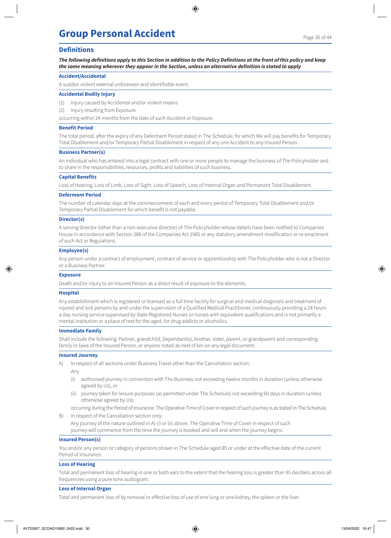## **Definitions**

*The following definitions apply to this Section in addition to the Policy Definitions at the front of this policy and keep the same meaning wherever they appear in the Section, unless an alternative definition is stated to apply*

#### **Accident/Accidental**

A sudden violent external unforeseen and identifiable event.

#### **Accidental Bodily Injury**

- (1) Injury caused by Accidental and/or violent means
- (2) Injury resulting from Exposure

occurring within 24 months from the date of such Accident or Exposure.

#### **Benefit Period**

The total period, after the expiry of any Deferment Period stated in The Schedule, for which We will pay benefits for Temporary Total Disablement and/or Temporary Partial Disablement in respect of any one Accident to any Insured Person.

#### **Business Partner(s)**

An individual who has entered into a legal contract with one or more people to manage the business of The Policyholder and to share in the responsibilities, resources, profits and liabilities of such business.

#### **Capital Benefits**

Loss of Hearing, Loss of Limb, Loss of Sight, Loss of Speech, Loss of Internal Organ and Permanent Total Disablement.

#### **Deferment Period**

The number of calendar days at the commencement of each and every period of Temporary Total Disablement and/or Temporary Partial Disablement for which benefit is not payable.

#### **Director(s)**

A serving director (other than a non-executive director) of The Policyholder whose details have been notified to Companies House in accordance with Section 288 of the Companies Act 1985 or any statutory amendment modification or re-enactment of such Act or Regulations.

#### **Employee(s)**

Any person under a contract of employment, contract of service or apprenticeship with The Policyholder who is not a Director or a Business Partner.

#### **Exposure**

Death and/or injury to an Insured Person as a direct result of exposure to the elements.

#### **Hospital**

Any establishment which is registered or licensed as a full time facility for surgical and medical diagnosis and treatment of injured and sick persons by and under the supervision of a Qualified Medical Practitioner, continuously providing a 24 hours a day nursing service supervised by State Registered Nurses or nurses with equivalent qualifications and is not primarily a mental institution or a place of rest for the aged, for drug addicts or alcoholics.

#### **Immediate Family**

Shall include the following: Partner, grandchild, Dependant(s), brother, sister, parent, or grandparent and corresponding family in-laws of the Insured Person, or anyone noted as next of kin on any legal document.

#### **Insured Journey**

- A) In respect of all sections under Business Travel other than the Cancellation section:
	- Any
	- (i) authorised journey in connection with The Business not exceeding twelve months in duration (unless otherwise agreed by Us), or
	- (ii) journey taken for leisure purposes (as permitted under The Schedule) not exceeding 60 days in duration (unless otherwise agreed by Us),

occurring during the Period of Insurance. The Operative Time of Cover in respect of such journey is as stated in The Schedule.

B) In respect of the Cancellation section only:

Any journey of the nature outlined in A) (i) or (ii) above. The Operative Time of Cover in respect of such journey will commence from the time the journey is booked and will end when the journey begins.

#### **Insured Person(s)**

You and/or any person or category of persons shown in The Schedule aged 85 or under at the effective date of the current Period of Insurance.

#### **Loss of Hearing**

Total and permanent loss of hearing in one or both ears to the extent that the hearing loss is greater than 95 decibels across all frequencies using a pure tone audiogram.

#### **Loss of Internal Organ**

Total and permanent loss of by removal or effective loss of use of one lung or one kidney, the spleen or the liver.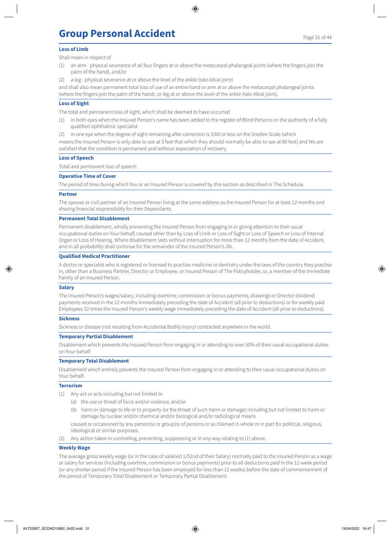## **Group Personal Accident**

#### **Loss of Limb**

Shall mean in respect of

- (1) an arm physical severance of all four fingers at or above the metacarpal phalangeal joints (where the fingers join the palm of the hand), and/or
- (2) a leg physical severance at or above the level of the ankle (talo-tibial joint)

and shall also mean permanent total loss of use of an entire hand or arm at or above the metacarpal phalangeal joints (where the fingers join the palm of the hand), or leg at or above the level of the ankle (talo-tibial joint).

#### **Loss of Sight**

The total and permanent loss of sight, which shall be deemed to have occurred

- (1) in both eyes when the Insured Person's name has been added to the register of Blind Persons on the authority of a fully qualified ophthalmic specialist
- (2) in one eye when the degree of sight remaining after correction is 3/60 or less on the Snellen Scale (which

means the Insured Person is only able to see at 3 feet that which they should normally be able to see at 60 feet) and We are satisfied that the condition is permanent and without expectation of recovery.

#### **Loss of Speech**

Total and permanent loss of speech.

#### **Operative Time of Cover**

The period of time during which You or an Insured Person is covered by this section as described in The Schedule.

#### **Partner**

The spouse or civil partner of an Insured Person living at the same address as the Insured Person for at least 12 months and sharing financial responsibility for their Dependants.

#### **Permanent Total Disablement**

Permanent disablement, wholly preventing the Insured Person from engaging in or giving attention to their usual occupational duties on Your behalf, caused other than by Loss of Limb or Loss of Sight or Loss of Speech or Loss of Internal Organ or Loss of Hearing. Where disablement lasts without interruption for more than 12 months from the date of Accident, and in all probability shall continue for the remainder of the Insured Person's life.

#### **Qualified Medical Practitioner**

A doctor or specialist who is registered or licensed to practise medicine or dentistry under the laws of the country they practise in, other than a Business Partner, Director or Employee, or Insured Person of The Policyholder, or, a member of the Immediate Family of an Insured Person.

#### **Salary**

The Insured Person's wages/salary, including overtime, commission or bonus payments, drawings or Director dividend payments received in the 12 months immediately preceding the date of Accident (all prior to deductions) or for weekly paid Employees 52 times the Insured Person's weekly wage immediately preceding the date of Accident (all prior to deductions).

#### **Sickness**

Sickness or disease (not resulting from Accidental Bodily Injury) contracted anywhere in the world.

#### **Temporary Partial Disablement**

Disablement which prevents the Insured Person from engaging in or attending to over 50% of their usual occupational duties on Your behalf.

#### **Temporary Total Disablement**

Disablement which entirely prevents the Insured Person from engaging in or attending to their usual occupational duties on Your behalf.

## **Terrorism**

- (1) Any act or acts including but not limited to
	- (a) the use or threat of force and/or violence, and/or
	- (b) harm or damage to life or to property (or the threat of such harm or damage) including but not limited to harm or damage by nuclear and/or chemical and/or biological and/or radiological means

caused or occasioned by any person(s) or group(s) of persons or so claimed in whole or in part for political, religious, ideological or similar purposes.

(2) Any action taken in controlling, preventing, suppressing or in any way relating to (1) above.

#### **Weekly Wage**

The average gross weekly wage (or in the case of salaried 1/52nd of their Salary) normally paid to the Insured Person as a wage or salary for services (including overtime, commission or bonus payments) prior to all deductions paid in the 12 week period (or any shorter period if the Insured Person has been employed for less than 12 weeks) before the date of commencement of the period of Temporary Total Disablement or Temporary Partial Disablement.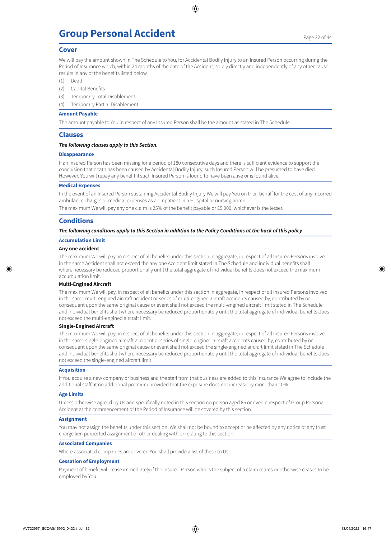## **Group Personal Accident**

### **Cover**

We will pay the amount shown in The Schedule to You, for Accidental Bodily Injury to an Insured Person occurring during the Period of Insurance which, within 24 months of the date of the Accident, solely directly and independently of any other cause results in any of the benefits listed below

- (1) Death
- (2) Capital Benefits
- (3) Temporary Total Disablement
- (4) Temporary Partial Disablement.

#### **Amount Payable**

The amount payable to You in respect of any Insured Person shall be the amount as stated in The Schedule.

### **Clauses**

#### *The following clauses apply to this Section.*

#### **Disappearance**

If an Insured Person has been missing for a period of 180 consecutive days and there is sufficient evidence to support the conclusion that death has been caused by Accidental Bodily Injury, such Insured Person will be presumed to have died. However, You will repay any benefit if such Insured Person is found to have been alive or is found alive.

### **Medical Expenses**

In the event of an Insured Person sustaining Accidental Bodily Injury We will pay You on their behalf for the cost of any incurred ambulance charges or medical expenses as an inpatient in a Hospital or nursing home.

The maximum We will pay any one claim is 25% of the benefit payable or £5,000, whichever is the lesser.

## **Conditions**

### *The following conditions apply to this Section in addition to the Policy Conditions at the back of this policy*

#### **Accumulation Limit**

#### **Any one accident**

The maximum We will pay, in respect of all benefits under this section in aggregate, in respect of all Insured Persons involved in the same Accident shall not exceed the any one Accident limit stated in The Schedule and individual benefits shall where necessary be reduced proportionally until the total aggregate of individual benefits does not exceed the maximum accumulation limit.

#### **Multi-Engined Aircraft**

The maximum We will pay, in respect of all benefits under this section in aggregate, in respect of all Insured Persons involved in the same multi-engined aircraft accident or series of multi-engined aircraft accidents caused by, contributed by or consequent upon the same original cause or event shall not exceed the multi-engined aircraft limit stated in The Schedule and individual benefits shall where necessary be reduced proportionately until the total aggregate of individual benefits does not exceed the multi-engined aircraft limit.

#### **Single-Engined Aircraft**

The maximum We will pay, in respect of all benefits under this section in aggregate, in respect of all Insured Persons involved in the same single-engined aircraft accident or series of single-engined aircraft accidents caused by, contributed by or consequent upon the same original cause or event shall not exceed the single-engined aircraft limit stated in The Schedule and individual benefits shall where necessary be reduced proportionately until the total aggregate of individual benefits does not exceed the single-engined aircraft limit.

#### **Acquisition**

If You acquire a new company or business and the staff from that business are added to this insurance We agree to include the additional staff at no additional premium provided that the exposure does not increase by more than 10%.

#### **Age Limits**

Unless otherwise agreed by Us and specifically noted in this section no person aged 86 or over in respect of Group Personal Accident at the commencement of the Period of Insurance will be covered by this section.

#### **Assignment**

You may not assign the benefits under this section. We shall not be bound to accept or be affected by any notice of any trust charge lien purported assignment or other dealing with or relating to this section.

#### **Associated Companies**

Where associated companies are covered You shall provide a list of these to Us.

#### **Cessation of Employment**

Payment of benefit will cease immediately if the Insured Person who is the subject of a claim retires or otherwise ceases to be employed by You.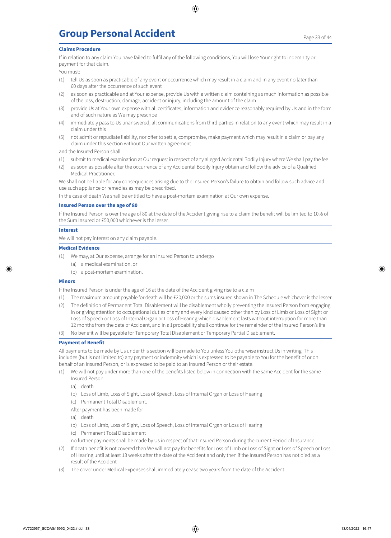### **Claims Procedure**

If in relation to any claim You have failed to fulfil any of the following conditions, You will lose Your right to indemnity or payment for that claim.

You must:

- (1) tell Us as soon as practicable of any event or occurrence which may result in a claim and in any event no later than 60 days after the occurrence of such event
- (2) as soon as practicable and at Your expense, provide Us with a written claim containing as much information as possible of the loss, destruction, damage, accident or injury, including the amount of the claim
- (3) provide Us at Your own expense with all certificates, information and evidence reasonably required by Us and in the form and of such nature as We may prescribe
- (4) immediately pass to Us unanswered, all communications from third parties in relation to any event which may result in a claim under this
- (5) not admit or repudiate liability, nor offer to settle, compromise, make payment which may result in a claim or pay any claim under this section without Our written agreement

and the Insured Person shall

- (1) submit to medical examination at Our request in respect of any alleged Accidental Bodily Injury where We shall pay the fee
- (2) as soon as possible after the occurrence of any Accidental Bodily Injury obtain and follow the advice of a Qualified Medical Practitioner.

We shall not be liable for any consequences arising due to the Insured Person's failure to obtain and follow such advice and use such appliance or remedies as may be prescribed.

In the case of death We shall be entitled to have a post-mortem examination at Our own expense.

#### **Insured Person over the age of 80**

If the Insured Person is over the age of 80 at the date of the Accident giving rise to a claim the benefit will be limited to 10% of the Sum Insured or £50,000 whichever is the lesser.

#### **Interest**

We will not pay interest on any claim payable.

#### **Medical Evidence**

- (1) We may, at Our expense, arrange for an Insured Person to undergo
	- (a) a medical examination, or
	- (b) a post-mortem examination.

#### **Minors**

If the Insured Person is under the age of 16 at the date of the Accident giving rise to a claim

- (1) The maximum amount payable for death will be £20,000 or the sums insured shown in The Schedule whichever is the lesser
- (2) The definition of Permanent Total Disablement will be disablement wholly preventing the Insured Person from engaging in or giving attention to occupational duties of any and every kind caused other than by Loss of Limb or Loss of Sight or Loss of Speech or Loss of Internal Organ or Loss of Hearing which disablement lasts without interruption for more than 12 months from the date of Accident, and in all probability shall continue for the remainder of the Insured Person's life
- (3) No benefit will be payable for Temporary Total Disablement or Temporary Partial Disablement.

#### **Payment of Benefit**

All payments to be made by Us under this section will be made to You unless You otherwise instruct Us in writing. This includes (but is not limited to) any payment or indemnity which is expressed to be payable to You for the benefit of or on behalf of an Insured Person, or is expressed to be paid to an Insured Person or their estate.

- (1) We will not pay under more than one of the benefits listed below in connection with the same Accident for the same Insured Person
	- (a) death
	- (b) Loss of Limb, Loss of Sight, Loss of Speech, Loss of Internal Organ or Loss of Hearing
	- (c) Permanent Total Disablement.

After payment has been made for

- (a) death
- (b) Loss of Limb, Loss of Sight, Loss of Speech, Loss of Internal Organ or Loss of Hearing
- (c) Permanent Total Disablement

no further payments shall be made by Us in respect of that Insured Person during the current Period of Insurance.

- (2) If death benefit is not covered then We will not pay for benefits for Loss of Limb or Loss of Sight or Loss of Speech or Loss of Hearing until at least 13 weeks after the date of the Accident and only then if the Insured Person has not died as a result of the Accident
- (3) The cover under Medical Expenses shall immediately cease two years from the date of the Accident.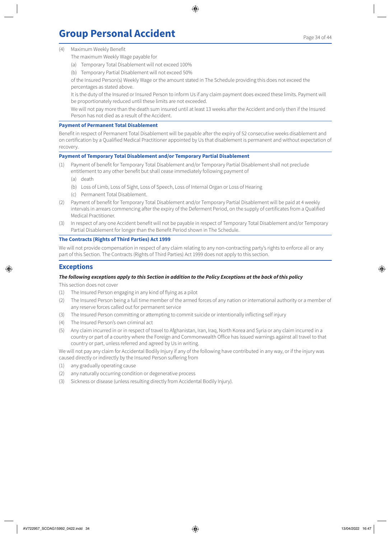## **Group Personal Accident**

### (4) Maximum Weekly Benefit

- The maximum Weekly Wage payable for
- (a) Temporary Total Disablement will not exceed 100%
- (b) Temporary Partial Disablement will not exceed 50%

of the Insured Person(s) Weekly Wage or the amount stated in The Schedule providing this does not exceed the percentages as stated above.

It is the duty of the Insured or Insured Person to inform Us if any claim payment does exceed these limits. Payment will be proportionately reduced until these limits are not exceeded.

We will not pay more than the death sum insured until at least 13 weeks after the Accident and only then if the Insured Person has not died as a result of the Accident.

#### **Payment of Permanent Total Disablement**

Benefit in respect of Permanent Total Disablement will be payable after the expiry of 52 consecutive weeks disablement and on certification by a Qualified Medical Practitioner appointed by Us that disablement is permanent and without expectation of recovery.

### **Payment of Temporary Total Disablement and/or Temporary Partial Disablement**

- (1) Payment of benefit for Temporary Total Disablement and/or Temporary Partial Disablement shall not preclude entitlement to any other benefit but shall cease immediately following payment of
	- (a) death
	- (b) Loss of Limb, Loss of Sight, Loss of Speech, Loss of Internal Organ or Loss of Hearing
	- (c) Permanent Total Disablement.
- (2) Payment of benefit for Temporary Total Disablement and/or Temporary Partial Disablement will be paid at 4 weekly intervals in arrears commencing after the expiry of the Deferment Period, on the supply of certificates from a Qualified Medical Practitioner.
- (3) In respect of any one Accident benefit will not be payable in respect of Temporary Total Disablement and/or Temporary Partial Disablement for longer than the Benefit Period shown in The Schedule.

## **The Contracts (Rights of Third Parties) Act 1999**

We will not provide compensation in respect of any claim relating to any non-contracting party's rights to enforce all or any part of this Section. The Contracts (Rights of Third Parties) Act 1999 does not apply to this section.

## **Exceptions**

## *The following exceptions apply to this Section in addition to the Policy Exceptions at the back of this policy*

This section does not cover

- (1) The Insured Person engaging in any kind of flying as a pilot
- (2) The Insured Person being a full time member of the armed forces of any nation or international authority or a member of any reserve forces called out for permanent service
- (3) The Insured Person committing or attempting to commit suicide or intentionally inflicting self injury
- (4) The Insured Person's own criminal act
- (5) Any claim incurred in or in respect of travel to Afghanistan, Iran, Iraq, North Korea and Syria or any claim incurred in a country or part of a country where the Foreign and Commonwealth Office has issued warnings against all travel to that country or part, unless referred and agreed by Us in writing.

We will not pay any claim for Accidental Bodily Injury if any of the following have contributed in any way, or if the injury was caused directly or indirectly by the Insured Person suffering from

- (1) any gradually operating cause
- (2) any naturally occurring condition or degenerative process
- (3) Sickness or disease (unless resulting directly from Accidental Bodily Injury).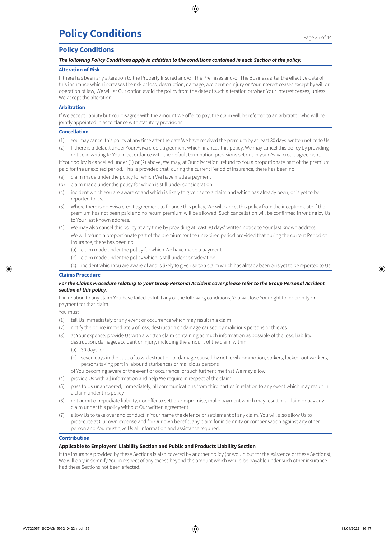## **Policy Conditions**

## **Policy Conditions**

#### *The following Policy Conditions apply in addition to the conditions contained in each Section of the policy.*

#### **Alteration of Risk**

If there has been any alteration to the Property Insured and/or The Premises and/or The Business after the effective date of this insurance which increases the risk of loss, destruction, damage, accident or injury or Your interest ceases except by will or operation of law, We will at Our option avoid the policy from the date of such alteration or when Your interest ceases, unless We accept the alteration.

### **Arbitration**

If We accept liability but You disagree with the amount We offer to pay, the claim will be referred to an arbitrator who will be jointly appointed in accordance with statutory provisions.

#### **Cancellation**

- (1) You may cancel this policy at any time after the date We have received the premium by at least 30 days' written notice to Us.
- (2) If there is a default under Your Aviva credit agreement which finances this policy, We may cancel this policy by providing notice in writing to You in accordance with the default termination provisions set out in your Aviva credit agreement.

If Your policy is cancelled under (1) or (2) above, We may, at Our discretion, refund to You a proportionate part of the premium paid for the unexpired period. This is provided that, during the current Period of Insurance, there has been no:

- (a) claim made under the policy for which We have made a payment
- (b) claim made under the policy for which is still under consideration
- (c) incident which You are aware of and which is likely to give rise to a claim and which has already been, or is yet to be , reported to Us.
- (3) Where there is no Aviva credit agreement to finance this policy, We will cancel this policy from the inception date if the premium has not been paid and no return premium will be allowed. Such cancellation will be confirmed in writing by Us to Your last known address.
- (4) We may also cancel this policy at any time by providing at least 30 days' written notice to Your last known address. We will refund a proportionate part of the premium for the unexpired period provided that during the current Period of Insurance, there has been no:
	- (a) claim made under the policy for which We have made a payment
	- (b) claim made under the policy which is still under consideration
	- (c) incident which You are aware of and is likely to give rise to a claim which has already been or is yet to be reported to Us.

#### **Claims Procedure**

### *For the Claims Procedure relating to your Group Personal Accident cover please refer to the Group Personal Accident section of this policy.*

If in relation to any claim You have failed to fulfil any of the following conditions, You will lose Your right to indemnity or payment for that claim.

You must

- (1) tell Us immediately of any event or occurrence which may result in a claim
- (2) notify the police immediately of loss, destruction or damage caused by malicious persons or thieves
- (3) at Your expense, provide Us with a written claim containing as much information as possible of the loss, liability, destruction, damage, accident or injury, including the amount of the claim within
	- (a) 30 days, or
	- (b) seven days in the case of loss, destruction or damage caused by riot, civil commotion, strikers, locked-out workers, persons taking part in labour disturbances or malicious persons
	- of You becoming aware of the event or occurrence, or such further time that We may allow
- (4) provide Us with all information and help We require in respect of the claim
- (5) pass to Us unanswered, immediately, all communications from third parties in relation to any event which may result in a claim under this policy
- (6) not admit or repudiate liability, nor offer to settle, compromise, make payment which may result in a claim or pay any claim under this policy without Our written agreement
- (7) allow Us to take over and conduct in Your name the defence or settlement of any claim. You will also allow Us to prosecute at Our own expense and for Our own benefit, any claim for indemnity or compensation against any other person and You must give Us all information and assistance required.

#### **Contribution**

#### **Applicable to Employers' Liability Section and Public and Products Liability Section**

If the insurance provided by these Sections is also covered by another policy (or would but for the existence of these Sections), We will only indemnify You in respect of any excess beyond the amount which would be payable under such other insurance had these Sections not been effected.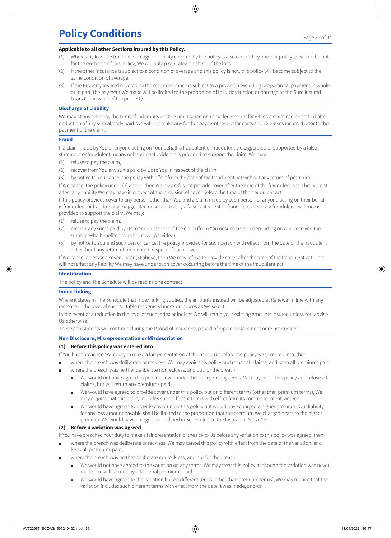## **Applicable to all other Sections insured by this Policy.**

- (1) Where any loss, destruction, damage or liability covered by the policy is also covered by another policy, or would be but for the existence of this policy, We will only pay a rateable share of the loss.
- (2) If the other insurance is subject to a condition of average and this policy is not, this policy will become subject to the same condition of average.
- (3) If the Property Insured covered by the other insurance is subject to a provision excluding proportional payment in whole or in part, the payment We make will be limited to the proportion of loss, destruction or damage as the Sum Insured bears to the value of the property.

#### **Discharge of Liability**

We may at any time pay the Limit of Indemnity or the Sum Insured or a smaller amount for which a claim can be settled after deduction of any sum already paid. We will not make any further payment except for costs and expenses incurred prior to the payment of the claim.

#### **Fraud**

If a claim made by You or anyone acting on Your behalf is fraudulent or fraudulently exaggerated or supported by a false statement or fraudulent means or fraudulent evidence is provided to support the claim, We may:

- (1) refuse to pay the claim,
- (2) recover from You any sums paid by Us to You in respect of the claim,
- (3) by notice to You cancel the policy with effect from the date of the fraudulent act without any return of premium.

If We cancel the policy under (3) above, then We may refuse to provide cover after the time of the fraudulent act. This will not affect any liability We may have in respect of the provision of cover before the time of the fraudulent act.

If this policy provides cover to any person other than You and a claim made by such person or anyone acting on their behalf is fraudulent or fraudulently exaggerated or supported by a false statement or fraudulent means or fraudulent evidence is provided to support the claim, We may:

- (1) refuse to pay the claim,
- (2) recover any sums paid by Us to You in respect of the claim (from You or such person depending on who received the sums or who benefited from the cover provided),
- (3) by notice to You and such person cancel the policy provided for such person with effect from the date of the fraudulent act without any return of premium in respect of such cover.

If We cancel a person's cover under (3) above, then We may refuse to provide cover after the time of the fraudulent act. This will not affect any liability We may have under such cover occurring before the time of the fraudulent act.

## **Identification**

The policy and The Schedule will be read as one contract.

#### **Index Linking**

Where it states in The Schedule that index linking applies, the amounts insured will be adjusted at Renewal in line with any increase in the level of such suitable recognised index or indices as We select.

In the event of a reduction in the level of such index or indices We will retain your existing amounts insured unless You advise Us otherwise.

These adjustments will continue during the Period of Insurance, period of repair, replacement or reinstatement.

#### **Non Disclosure, Misrepresentation or Misdescription**

#### **(1) Before this policy was entered into**

If You have breached Your duty to make a fair presentation of the risk to Us before the policy was entered into, then:

- where the breach was deliberate or reckless, We may avoid this policy and refuse all claims, and keep all premiums paid;
- where the breach was neither deliberate nor reckless, and but for the breach:
	- We would not have agreed to provide cover under this policy on any terms, We may avoid this policy and refuse all claims, but will return any premiums paid
	- We would have agreed to provide cover under this policy but on different terms (other than premium terms), We may require that this policy includes such different terms with effect from its commencement, and/or
	- We would have agreed to provide cover under this policy but would have charged a higher premium, Our liability for any loss amount payable shall be limited to the proportion that the premium We charged bears to the higher premium We would have charged, as outlined in Schedule 1 to the Insurance Act 2015.

## **(2) Before a variation was agreed**

If You have breached Your duty to make a fair presentation of the risk to Us before any variation to this policy was agreed, then:

- where the breach was deliberate or reckless, We may cancel this policy with effect from the date of the variation, and keep all premiums paid;
- where the breach was neither deliberate nor reckless, and but for the breach:
	- We would not have agreed to the variation on any terms, We may treat this policy as though the variation was never made, but will return any additional premiums paid
	- We would have agreed to the variation but on different terms (other than premium terms), We may require that the variation includes such different terms with effect from the date it was made, and/or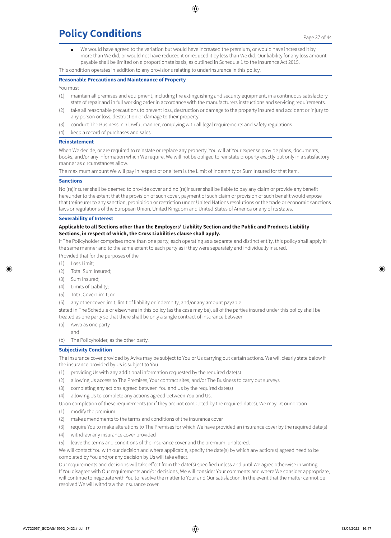## **Policy Conditions**

We would have agreed to the variation but would have increased the premium, or would have increased it by more than We did, or would not have reduced it or reduced it by less than We did, Our liability for any loss amount payable shall be limited on a proportionate basis, as outlined in Schedule 1 to the Insurance Act 2015.

This condition operates in addition to any provisions relating to underinsurance in this policy.

## **Reasonable Precautions and Maintenance of Property**

#### You must

- (1) maintain all premises and equipment, including fire extinguishing and security equipment, in a continuous satisfactory state of repair and in full working order in accordance with the manufacturers instructions and servicing requirements.
- (2) take all reasonable precautions to prevent loss, destruction or damage to the property insured and accident or injury to any person or loss, destruction or damage to their property.
- (3) conduct The Business in a lawful manner, complying with all legal requirements and safety regulations.
- (4) keep a record of purchases and sales.

#### **Reinstatement**

When We decide, or are required to reinstate or replace any property, You will at Your expense provide plans, documents, books, and/or any information which We require. We will not be obliged to reinstate property exactly but only in a satisfactory manner as circumstances allow.

The maximum amount We will pay in respect of one item is the Limit of Indemnity or Sum Insured for that item.

#### **Sanctions**

No (re)insurer shall be deemed to provide cover and no (re)insurer shall be liable to pay any claim or provide any benefit hereunder to the extent that the provision of such cover, payment of such claim or provision of such benefit would expose that (re)insurer to any sanction, prohibition or restriction under United Nations resolutions or the trade or economic sanctions laws or regulations of the European Union, United Kingdom and United States of America or any of its states.

#### **Severability of Interest**

### **Applicable to all Sections other than the Employers' Liability Section and the Public and Products Liability Sections, in respect of which, the Cross Liabilities clause shall apply.**

If The Policyholder comprises more than one party, each operating as a separate and distinct entity, this policy shall apply in the same manner and to the same extent to each party as if they were separately and individually insured.

Provided that for the purposes of the

- (1) Loss Limit;
- (2) Total Sum Insured;
- (3) Sum Insured;
- (4) Limits of Liability;
- (5) Total Cover Limit; or
- (6) any other cover limit, limit of liability or indemnity, and/or any amount payable

stated in The Schedule or elsewhere in this policy (as the case may be), all of the parties insured under this policy shall be treated as one party so that there shall be only a single contract of insurance between

- (a) Aviva as one party
- and
- (b) The Policyholder, as the other party.

## **Subjectivity Condition**

The insurance cover provided by Aviva may be subject to You or Us carrying out certain actions. We will clearly state below if the insurance provided by Us is subject to You

- (1) providing Us with any additional information requested by the required date(s)
- (2) allowing Us access to The Premises, Your contract sites, and/or The Business to carry out surveys
- (3) completing any actions agreed between You and Us by the required date(s)
- (4) allowing Us to complete any actions agreed between You and Us.
- Upon completion of these requirements (or if they are not completed by the required dates), We may, at our option
- (1) modify the premium
- (2) make amendments to the terms and conditions of the insurance cover
- (3) require You to make alterations to The Premises for which We have provided an insurance cover by the required date(s)
- (4) withdraw any insurance cover provided
- (5) leave the terms and conditions of the insurance cover and the premium, unaltered.

We will contact You with our decision and where applicable, specify the date(s) by which any action(s) agreed need to be completed by You and/or any decision by Us will take effect.

Our requirements and decisions will take effect from the date(s) specified unless and until We agree otherwise in writing. If You disagree with Our requirements and/or decisions, We will consider Your comments and where We consider appropriate, will continue to negotiate with You to resolve the matter to Your and Our satisfaction. In the event that the matter cannot be resolved We will withdraw the insurance cover.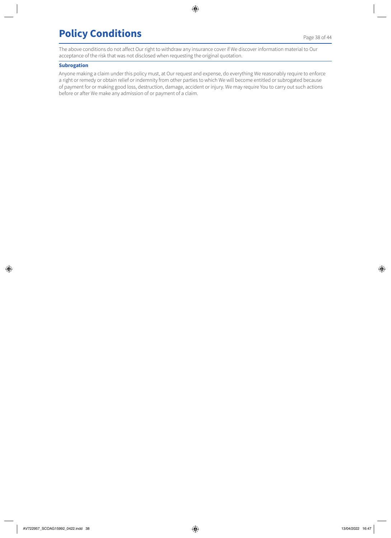## **Policy Conditions**

The above conditions do not affect Our right to withdraw any insurance cover if We discover information material to Our acceptance of the risk that was not disclosed when requesting the original quotation.

#### **Subrogation**

Anyone making a claim under this policy must, at Our request and expense, do everything We reasonably require to enforce a right or remedy or obtain relief or indemnity from other parties to which We will become entitled or subrogated because of payment for or making good loss, destruction, damage, accident or injury. We may require You to carry out such actions before or after We make any admission of or payment of a claim.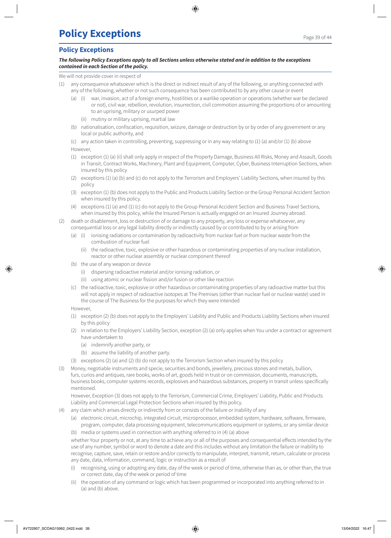## **Policy Exceptions**

### *The following Policy Exceptions apply to all Sections unless otherwise stated and in addition to the exceptions contained in each Section of the policy.*

We will not provide cover in respect of

- (1) any consequence whatsoever which is the direct or indirect result of any of the following, or anything connected with any of the following, whether or not such consequence has been contributed to by any other cause or event
	- (a) (i) war, invasion, act of a foreign enemy, hostilities or a warlike operation or operations (whether war be declared or not), civil war, rebellion, revolution, insurrection, civil commotion assuming the proportions of or amounting to an uprising, military or usurped power
		- (ii) mutiny or military uprising, martial law
	- (b) nationalisation, confiscation, requisition, seizure, damage or destruction by or by order of any government or any local or public authority, and

(c) any action taken in controlling, preventing, suppressing or in any way relating to (1) (a) and/or (1) (b) above However,

- (1) exception (1) (a) (ii) shall only apply in respect of the Property Damage, Business All Risks, Money and Assault, Goods in Transit, Contract Works, Machinery, Plant and Equipment, Computer, Cyber, Business Interruption Sections, when insured by this policy
- (2) exceptions (1) (a) (b) and (c) do not apply to the Terrorism and Employers' Liability Sections, when insured by this policy
- (3) exception (1) (b) does not apply to the Public and Products Liability Section or the Group Personal Accident Section when insured by this policy.
- (4) exceptions (1) (a) and (1) (c) do not apply to the Group Personal Accident Section and Business Travel Sections, when insured by this policy, while the Insured Person is actually engaged on an Insured Journey abroad.
- (2) death or disablement, loss or destruction of or damage to any property, any loss or expense whatsoever, any consequential loss or any legal liability directly or indirectly caused by or contributed to by or arising from
	- (a) (i) ionising radiations or contamination by radioactivity from nuclear fuel or from nuclear waste from the combustion of nuclear fuel
		- (ii) the radioactive, toxic, explosive or other hazardous or contaminating properties of any nuclear installation, reactor or other nuclear assembly or nuclear component thereof
	- (b) the use of any weapon or device
		- (i) dispersing radioactive material and/or ionising radiation, or
		- (ii) using atomic or nuclear fission and/or fusion or other like reaction
	- (c) the radioactive, toxic, explosive or other hazardous or contaminating properties of any radioactive matter but this will not apply in respect of radioactive isotopes at The Premises (other than nuclear fuel or nuclear waste) used in the course of The Business for the purposes for which they were intended

However,

- (1) exception (2) (b) does not apply to the Employers' Liability and Public and Products Liability Sections when insured by this policy
- (2) in relation to the Employers' Liability Section, exception (2) (a) only applies when You under a contract or agreement have undertaken to
	- (a) indemnify another party, or
	- (b) assume the liability of another party.
- (3) exceptions (2) (a) and (2) (b) do not apply to the Terrorism Section when insured by this policy
- (3) Money, negotiable instruments and specie, securities and bonds, jewellery, precious stones and metals, bullion, furs, curios and antiques, rare books, works of art, goods held in trust or on commission, documents, manuscripts, business books, computer systems records, explosives and hazardous substances, property in transit unless specifically mentioned.

However, Exception (3) does not apply to the Terrorism, Commercial Crime, Employers' Liability, Public and Products Liability and Commercial Legal Protection Sections when insured by this policy.

- (4) any claim which arises directly or indirectly from or consists of the failure or inability of any
	- (a) electronic circuit, microchip, integrated circuit, microprocessor, embedded system, hardware, software, firmware, program, computer, data processing equipment, telecommunications equipment or systems, or any similar device
	- (b) media or systems used in connection with anything referred to in (4) (a) above

whether Your property or not, at any time to achieve any or all of the purposes and consequential effects intended by the use of any number, symbol or word to denote a date and this includes without any limitation the failure or inability to recognise, capture, save, retain or restore and/or correctly to manipulate, interpret, transmit, return, calculate or process any date, data, information, command, logic or instruction as a result of

- (i) recognising, using or adopting any date, day of the week or period of time, otherwise than as, or other than, the true or correct date, day of the week or period of time
- (ii) the operation of any command or logic which has been programmed or incorporated into anything referred to in (a) and (b) above.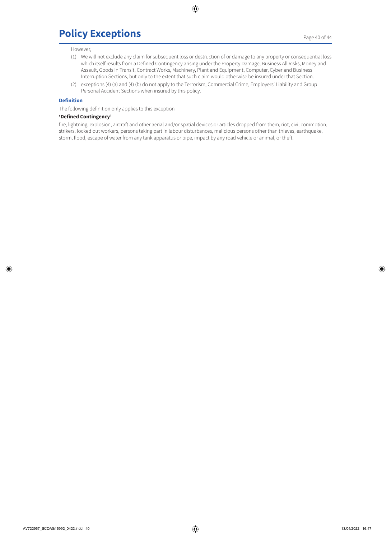## **Policy Exceptions**

#### However,

- (1) We will not exclude any claim for subsequent loss or destruction of or damage to any property or consequential loss which itself results from a Defined Contingency arising under the Property Damage, Business All Risks, Money and Assault, Goods in Transit, Contract Works, Machinery, Plant and Equipment, Computer, Cyber and Business Interruption Sections, but only to the extent that such claim would otherwise be insured under that Section.
- (2) exceptions (4) (a) and (4) (b) do not apply to the Terrorism, Commercial Crime, Employers' Liability and Group Personal Accident Sections when insured by this policy.

#### **Definition**

The following definition only applies to this exception

## **'Defined Contingency'**

fire, lightning, explosion, aircraft and other aerial and/or spatial devices or articles dropped from them, riot, civil commotion, strikers, locked out workers, persons taking part in labour disturbances, malicious persons other than thieves, earthquake, storm, flood, escape of water from any tank apparatus or pipe, impact by any road vehicle or animal, or theft.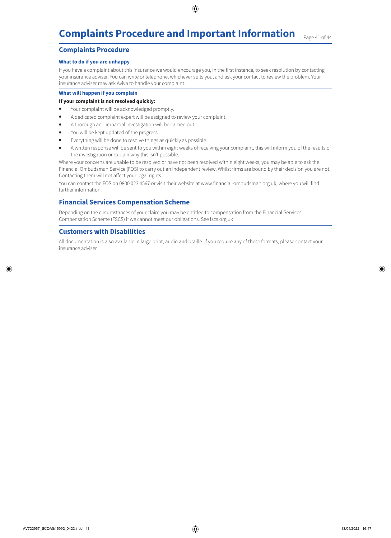## **Complaints Procedure and Important Information**

## **Complaints Procedure**

#### **What to do if you are unhappy**

If you have a complaint about this insurance we would encourage you, in the first instance, to seek resolution by contacting your insurance adviser. You can write or telephone, whichever suits you, and ask your contact to review the problem. Your insurance adviser may ask Aviva to handle your complaint.

## **What will happen if you complain**

#### **If your complaint is not resolved quickly:**

- Your complaint will be acknowledged promptly.
- A dedicated complaint expert will be assigned to review your complaint.
- A thorough and impartial investigation will be carried out.
- You will be kept updated of the progress.
- Everything will be done to resolve things as quickly as possible.
- A written response will be sent to you within eight weeks of receiving your complaint, this will inform you of the results of the investigation or explain why this isn't possible.

Where your concerns are unable to be resolved or have not been resolved within eight weeks, you may be able to ask the Financial Ombudsman Service (FOS) to carry out an independent review. Whilst firms are bound by their decision you are not. Contacting them will not affect your legal rights.

You can contact the FOS on 0800 023 4567 or visit their website at www.financial-ombudsman.org.uk, where you will find further information.

## **Financial Services Compensation Scheme**

Depending on the circumstances of your claim you may be entitled to compensation from the Financial Services Compensation Scheme (FSCS) if we cannot meet our obligations. See [fscs.org.uk](http://fscs.org.uk)

## **Customers with Disabilities**

All documentation is also available in large print, audio and braille. If you require any of these formats, please contact your insurance adviser.